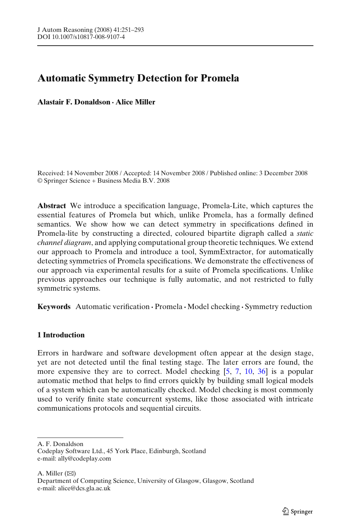# **Automatic Symmetry Detection for Promela**

**Alastair F. Donaldson · Alice Miller**

Received: 14 November 2008 / Accepted: 14 November 2008 / Published online: 3 December 2008 © Springer Science + Business Media B.V. 2008

**Abstract** We introduce a specification language, Promela-Lite, which captures the essential features of Promela but which, unlike Promela, has a formally defined semantics. We show how we can detect symmetry in specifications defined in Promela-lite by constructing a directed, coloured bipartite digraph called a *static channel diagram*, and applying computational group theoretic techniques. We extend our approach to Promela and introduce a tool, SymmExtractor, for automatically detecting symmetries of Promela specifications. We demonstrate the effectiveness of our approach via experimental results for a suite of Promela specifications. Unlike previous approaches our technique is fully automatic, and not restricted to fully symmetric systems.

**Keywords** Automatic verification **·** Promela **·** Model checking **·** Symmetry reduction

## **1 Introduction**

Errors in hardware and software development often appear at the design stage, yet are not detected until the final testing stage. The later errors are found, the more expensive they are to correct. Model checking [\[5,](#page-41-0) [7,](#page-41-0) [10,](#page-41-0) [36](#page-42-0)] is a popular automatic method that helps to find errors quickly by building small logical models of a system which can be automatically checked. Model checking is most commonly used to verify finite state concurrent systems, like those associated with intricate communications protocols and sequential circuits.

A. F. Donaldson

Codeplay Software Ltd., 45 York Place, Edinburgh, Scotland e-mail: ally@codeplay.com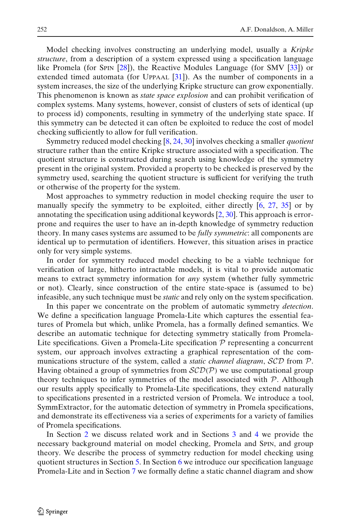Model checking involves constructing an underlying model, usually a *Kripke structure*, from a description of a system expressed using a specification language like Promela (for SPIN [\[28](#page-42-0)]), the Reactive Modules Language (for SMV [\[33\]](#page-42-0)) or extended timed automata (for UPPAAL  $[31]$  $[31]$ ). As the number of components in a system increases, the size of the underlying Kripke structure can grow exponentially. This phenomenon is known as *state space explosion* and can prohibit verification of complex systems. Many systems, however, consist of clusters of sets of identical (up to process id) components, resulting in symmetry of the underlying state space. If this symmetry can be detected it can often be exploited to reduce the cost of model checking sufficiently to allow for full verification.

Symmetry reduced model checking [\[8](#page-41-0), [24](#page-42-0), [30](#page-42-0)] involves checking a smaller *quotient* structure rather than the entire Kripke structure associated with a specification. The quotient structure is constructed during search using knowledge of the symmetry present in the original system. Provided a property to be checked is preserved by the symmetry used, searching the quotient structure is sufficient for verifying the truth or otherwise of the property for the system.

Most approaches to symmetry reduction in model checking require the user to manually specify the symmetry to be exploited, either directly [\[6](#page-41-0), [27](#page-42-0), [35\]](#page-42-0) or by annotating the specification using additional keywords  $[2, 30]$  $[2, 30]$  $[2, 30]$  $[2, 30]$ . This approach is errorprone and requires the user to have an in-depth knowledge of symmetry reduction theory. In many cases systems are assumed to be *fully symmetric*: all components are identical up to permutation of identifiers. However, this situation arises in practice only for very simple systems.

In order for symmetry reduced model checking to be a viable technique for verification of large, hitherto intractable models, it is vital to provide automatic means to extract symmetry information for *any* system (whether fully symmetric or not). Clearly, since construction of the entire state-space is (assumed to be) infeasible, any such technique must be *static* and rely only on the system specification.

In this paper we concentrate on the problem of automatic symmetry *detection*. We define a specification language Promela-Lite which captures the essential features of Promela but which, unlike Promela, has a formally defined semantics. We describe an automatic technique for detecting symmetry statically from Promela-Lite specifications. Given a Promela-Lite specification  $P$  representing a concurrent system, our approach involves extracting a graphical representation of the communications structure of the system, called a *static channel diagram*, SCD from P. Having obtained a group of symmetries from  $\mathcal{SCD}(\mathcal{P})$  we use computational group theory techniques to infer symmetries of the model associated with  $P$ . Although our results apply specifically to Promela-Lite specifications, they extend naturally to specifications presented in a restricted version of Promela. We introduce a tool, SymmExtractor, for the automatic detection of symmetry in Promela specifications, and demonstrate its effectiveness via a series of experiments for a variety of families of Promela specifications.

In Section [2](#page-2-0) we discuss related work and in Sections [3](#page-2-0) and [4](#page-5-0) we provide the necessary background material on model checking, Promela and SPIN, and group theory. We describe the process of symmetry reduction for model checking using quotient structures in Section [5.](#page-8-0) In Section [6](#page-10-0) we introduce our specification language Promela-Lite and in Section [7](#page-16-0) we formally define a static channel diagram and show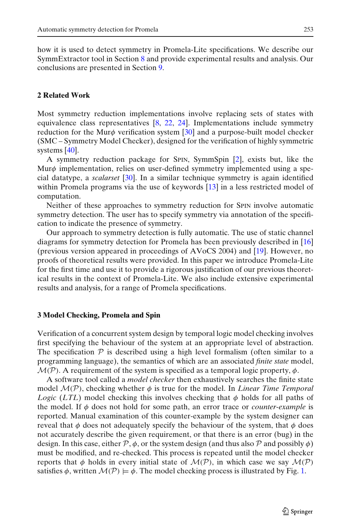<span id="page-2-0"></span>how it is used to detect symmetry in Promela-Lite specifications. We describe our SymmExtractor tool in Section [8](#page-28-0) and provide experimental results and analysis. Our conclusions are presented in Section [9.](#page-33-0)

## **2 Related Work**

Most symmetry reduction implementations involve replacing sets of states with equivalence class representatives  $[8, 22, 24]$  $[8, 22, 24]$  $[8, 22, 24]$  $[8, 22, 24]$  $[8, 22, 24]$  $[8, 22, 24]$ . Implementations include symmetry reduction for the Mur $\phi$  verification system [\[30\]](#page-42-0) and a purpose-built model checker (SMC – Symmetry Model Checker), designed for the verification of highly symmetric systems [\[40](#page-42-0)].

A symmetry reduction package for SPIN, SymmSpin [\[2\]](#page-41-0), exists but, like the Mur $\phi$  implementation, relies on user-defined symmetry implemented using a special datatype, a *scalarset* [\[30](#page-42-0)]. In a similar technique symmetry is again identified within Promela programs via the use of keywords [\[13](#page-41-0)] in a less restricted model of computation.

Neither of these approaches to symmetry reduction for SPIN involve automatic symmetry detection. The user has to specify symmetry via annotation of the specification to indicate the presence of symmetry.

Our approach to symmetry detection is fully automatic. The use of static channel diagrams for symmetry detection for Promela has been previously described in [\[16](#page-41-0)] (previous version appeared in proceedings of AVoCS 2004) and [\[19](#page-41-0)]. However, no proofs of theoretical results were provided. In this paper we introduce Promela-Lite for the first time and use it to provide a rigorous justification of our previous theoretical results in the context of Promela-Lite. We also include extensive experimental results and analysis, for a range of Promela specifications.

## **3 Model Checking, Promela and Spin**

Verification of a concurrent system design by temporal logic model checking involves first specifying the behaviour of the system at an appropriate level of abstraction. The specification  $P$  is described using a high level formalism (often similar to a programming language), the semantics of which are an associated *finite state* model,  $\mathcal{M}(\mathcal{P})$ . A requirement of the system is specified as a temporal logic property,  $\phi$ .

A software tool called a *model checker* then exhaustively searches the finite state model  $\mathcal{M}(\mathcal{P})$ , checking whether  $\phi$  is true for the model. In *Linear Time Temporal Logic* (*LTL*) model checking this involves checking that  $\phi$  holds for all paths of the model. If φ does not hold for some path, an error trace or *counter-example* is reported. Manual examination of this counter-example by the system designer can reveal that  $\phi$  does not adequately specify the behaviour of the system, that  $\phi$  does not accurately describe the given requirement, or that there is an error (bug) in the design. In this case, either  $\mathcal{P}, \phi$ , or the system design (and thus also  $\mathcal P$  and possibly  $\phi$ ) must be modified, and re-checked. This process is repeated until the model checker reports that  $\phi$  holds in every initial state of  $\mathcal{M}(\mathcal{P})$ , in which case we say  $\mathcal{M}(\mathcal{P})$ satisfies  $\phi$ , written  $\mathcal{M}(\mathcal{P}) \models \phi$ . The model checking process is illustrated by Fig. [1.](#page-3-0)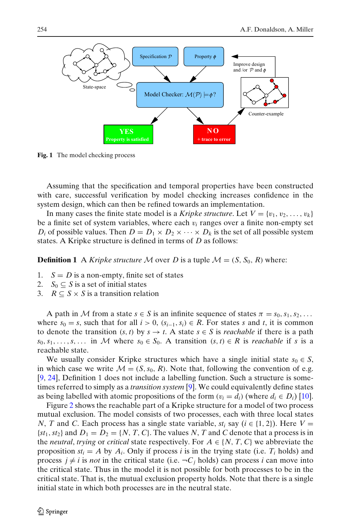<span id="page-3-0"></span>

**Fig. 1** The model checking process

Assuming that the specification and temporal properties have been constructed with care, successful verification by model checking increases confidence in the system design, which can then be refined towards an implementation.

In many cases the finite state model is a *Kripke structure*. Let  $V = \{v_1, v_2, \ldots, v_k\}$ be a finite set of system variables, where each  $v_i$  ranges over a finite non-empty set *D<sub>i</sub>* of possible values. Then  $D = D_1 \times D_2 \times \cdots \times D_k$  is the set of all possible system states. A Kripke structure is defined in terms of *D* as follows:

**Definition 1** A *Kripke structure* M over D is a tuple  $M = (S, S_0, R)$  where:

- 1.  $S = D$  is a non-empty, finite set of states
- 2. *S*<sub>0</sub>  $\subseteq$  *S* is a set of initial states
- 3.  $R \subset S \times S$  is a transition relation

A path in M from a state  $s \in S$  is an infinite sequence of states  $\pi = s_0, s_1, s_2, \ldots$ where  $s_0 = s$ , such that for all  $i > 0$ ,  $(s_{i-1}, s_i) \in R$ . For states *s* and *t*, it is common to denote the transition  $(s, t)$  by  $s \rightarrow t$ . A state  $s \in S$  is *reachable* if there is a path *s*<sub>0</sub>, *s*<sub>1</sub>, ..., *s*, ... in *M* where *s*<sub>0</sub> ∈ *S*<sub>0</sub>. A transition (*s*, *t*) ∈ *R* is *reachable* if *s* is a reachable state.

We usually consider Kripke structures which have a single initial state  $s_0 \in S$ , in which case we write  $M = (S, s_0, R)$ . Note that, following the convention of e.g. [\[9,](#page-41-0) [24](#page-42-0)], Definition 1 does not include a labelling function. Such a structure is sometimes referred to simply as a *transition system* [\[9\]](#page-41-0). We could equivalently define states as being labelled with atomic propositions of the form  $(v_i = d_i)$  (where  $d_i \in D_i$ ) [\[10](#page-41-0)].

Figure [2](#page-4-0) shows the reachable part of a Kripke structure for a model of two process mutual exclusion. The model consists of two processes, each with three local states *N*, *T* and *C*. Each process has a single state variable,  $st_i$  say ( $i \in \{1, 2\}$ ). Here  $V =$  ${s_t}$  *st*<sub>1</sub>, *st*<sub>2</sub> and  $D_1 = D_2 = \{N, T, C\}$ . The values *N*, *T* and *C* denote that a process is in the *neutral*, *trying* or *critical* state respectively. For  $A \in \{N, T, C\}$  we abbreviate the proposition  $st_i = A$  by  $A_i$ . Only if process *i* is in the trying state (i.e.  $T_i$  holds) and process  $j \neq i$  is *not* in the critical state (i.e.  $\neg C_j$  holds) can process *i* can move into the critical state. Thus in the model it is not possible for both processes to be in the critical state. That is, the mutual exclusion property holds. Note that there is a single initial state in which both processes are in the neutral state.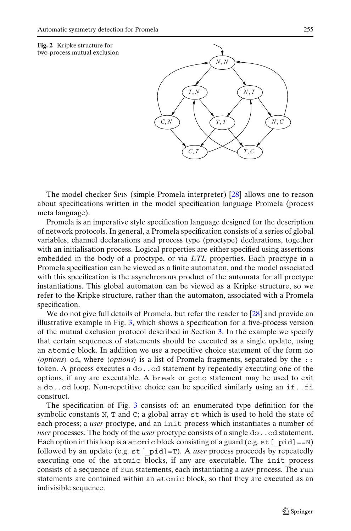<span id="page-4-0"></span>



The model checker SPIN (simple Promela interpreter) [\[28\]](#page-42-0) allows one to reason about specifications written in the model specification language Promela (process meta language).

Promela is an imperative style specification language designed for the description of network protocols. In general, a Promela specification consists of a series of global variables, channel declarations and process type (proctype) declarations, together with an initialisation process. Logical properties are either specified using assertions embedded in the body of a proctype, or via *LTL* properties. Each proctype in a Promela specification can be viewed as a finite automaton, and the model associated with this specification is the asynchronous product of the automata for all proctype instantiations. This global automaton can be viewed as a Kripke structure, so we refer to the Kripke structure, rather than the automaton, associated with a Promela specification.

We do not give full details of Promela, but refer the reader to [\[28](#page-42-0)] and provide an illustrative example in Fig. [3,](#page-5-0) which shows a specification for a five-process version of the mutual exclusion protocol described in Section [3.](#page-2-0) In the example we specify that certain sequences of statements should be executed as a single update, using an atomic block. In addition we use a repetitive choice statement of the form do *(options)* od, where *(options)* is a list of Promela fragments, separated by the :: token. A process executes a do..od statement by repeatedly executing one of the options, if any are executable. A break or goto statement may be used to exit a do..od loop. Non-repetitive choice can be specified similarly using an if..fi construct.

The specification of Fig. [3](#page-5-0) consists of: an enumerated type definition for the symbolic constants N, T and C; a global array st which is used to hold the state of each process; a *user* proctype, and an init process which instantiates a number of *user* processes. The body of the *user* proctype consists of a single do..od statement. Each option in this loop is a atomic block consisting of a guard (e.g.  $st$  [  $pid$ ] ==N) followed by an update (e.g.  $st$  [ $pid$ ]=T). A *user* process proceeds by repeatedly executing one of the atomic blocks, if any are executable. The init process consists of a sequence of run statements, each instantiating a *user* process. The run statements are contained within an atomic block, so that they are executed as an indivisible sequence.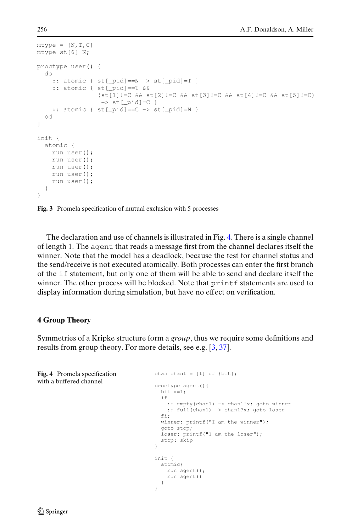```
mtype = {N, T, C}mtype st[6]=N;
proctype user() {
   d\Omega:: atomic { st[\overline{\phantom{a}}\text{pid}] == N \rightarrow st[\overline{\phantom{a}}\text{pid}] = T }
      :: atomic { st [ pid ] == T & &
                           (\text{st}[1]:=C \& \& \text{st}[2]:=C \& \& \text{st}[3]:=C \& \& \text{st}[4]:=C \& \& \text{st}[5]:=C)\rightarrow st[ pid]=C }
      :: atomic { st[ pid] == C \rightarrow st [ pid] =N }
   od
\overline{\phantom{a}}init {
   atomic {
      run user();
      run user();
      run user();
     run user();
      run user():
   \rightarrow\overline{\phantom{a}}
```
**Fig. 3** Promela specification of mutual exclusion with 5 processes

The declaration and use of channels is illustrated in Fig. 4. There is a single channel of length 1. The agent that reads a message first from the channel declares itself the winner. Note that the model has a deadlock, because the test for channel status and the send/receive is not executed atomically. Both processes can enter the first branch of the if statement, but only one of them will be able to send and declare itself the winner. The other process will be blocked. Note that printf statements are used to display information during simulation, but have no effect on verification.

## **4 Group Theory**

Symmetries of a Kripke structure form a *group*, thus we require some definitions and results from group theory. For more details, see e.g. [\[3,](#page-41-0) [37](#page-42-0)].

```
Fig. 4 Promela specification
                                        chan chan1 = [1] of \{bit\};
with a buffered channelproctype agent(){
                                         bit x=1;
                                          if
                                            :: empty(chan1) -> chan1!x; goto winner
                                            :: full(chan1) -> chan1?x; goto loser
                                          fi;
                                          winner: printf("I am the winner");
                                          goto stop;
                                          loser: printf("I am the loser");
                                          stop: skip
                                        \rightarrowinit {
                                         atomic
                                           run agent();
                                            run agent()
                                          \rightarrow\}
```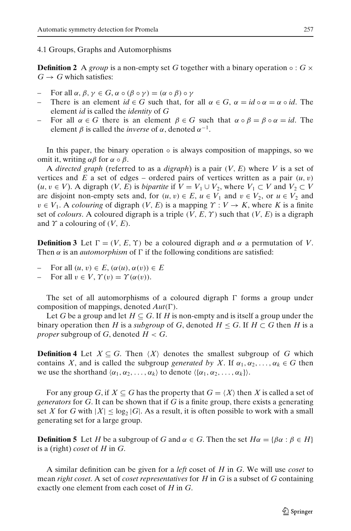### 4.1 Groups, Graphs and Automorphisms

**Definition 2** A *group* is a non-empty set G together with a binary operation  $\circ$  :  $G \times$  $G \rightarrow G$  which satisfies:

- For all  $\alpha$ ,  $\beta$ ,  $\gamma$  ∈ *G*,  $\alpha$  ∘ ( $\beta$  ∘  $\gamma$ ) = ( $\alpha$  ∘  $\beta$ ) ∘  $\gamma$
- There is an element  $id \in G$  such that, for all  $\alpha \in G$ ,  $\alpha = id \circ \alpha = \alpha \circ id$ . The element *id* is called the *identity* of *G*
- For all  $\alpha \in G$  there is an element  $\beta \in G$  such that  $\alpha \circ \beta = \beta \circ \alpha = id$ . The element  $\beta$  is called the *inverse* of  $\alpha$ , denoted  $\alpha^{-1}$ .

In this paper, the binary operation  $\circ$  is always composition of mappings, so we omit it, writing  $\alpha\beta$  for  $\alpha \circ \beta$ .

A *directed graph* (referred to as a *digraph*) is a pair (*V*, *E*) where *V* is a set of vertices and *E* a set of edges – ordered pairs of vertices written as a pair  $(u, v)$  $(u, v ∈ V)$ . A digraph  $(V, E)$  is *bipartite* if  $V = V_1 ∪ V_2$ , where  $V_1 ⊂ V$  and  $V_2 ⊂ V$ are disjoint non-empty sets and, for  $(u, v) \in E$ ,  $u \in V_1$  and  $v \in V_2$ , or  $u \in V_2$  and  $v \in V_1$ . A *colouring* of digraph  $(V, E)$  is a mapping  $\Upsilon : V \to K$ , where K is a finite set of *colours*. A coloured digraph is a triple  $(V, E, \Upsilon)$  such that  $(V, E)$  is a digraph and  $\Upsilon$  a colouring of  $(V, E)$ .

**Definition 3** Let  $\Gamma = (V, E, \Upsilon)$  be a coloured digraph and  $\alpha$  a permutation of V. Then  $\alpha$  is an *automorphism* of  $\Gamma$  if the following conditions are satisfied:

- For all  $(u, v) \in E$ ,  $(\alpha(u), \alpha(v)) \in E$
- For all  $v \in V$ ,  $\Upsilon(v) = \Upsilon(\alpha(v))$ .

The set of all automorphisms of a coloured digraph  $\Gamma$  forms a group under composition of mappings, denoted  $Aut(\Gamma)$ .

Let *G* be a group and let  $H \subseteq G$ . If *H* is non-empty and is itself a group under the binary operation then *H* is a *subgroup* of *G*, denoted  $H \leq G$ . If  $H \subset G$  then *H* is a *proper* subgroup of *G*, denoted  $H < G$ .

**Definition 4** Let  $X \subseteq G$ . Then  $\langle X \rangle$  denotes the smallest subgroup of *G* which contains *X*, and is called the subgroup *generated by X*. If  $\alpha_1, \alpha_2, \ldots, \alpha_k \in G$  then we use the shorthand  $\langle \alpha_1, \alpha_2, \ldots, \alpha_k \rangle$  to denote  $\langle \{\alpha_1, \alpha_2, \ldots, \alpha_k\} \rangle$ .

For any group *G*, if  $X \subseteq G$  has the property that  $G = \langle X \rangle$  then *X* is called a set of *generators* for *G*. It can be shown that if *G* is a finite group, there exists a generating set X for G with  $|X| \leq \log_2 |G|$ . As a result, it is often possible to work with a small generating set for a large group.

**Definition 5** Let *H* be a subgroup of *G* and  $\alpha \in G$ . Then the set  $H\alpha = {\beta \alpha : \beta \in H}$ is a (right) *coset* of *H* in *G*.

A similar definition can be given for a *left* coset of *H* in *G*. We will use *coset* to mean *right coset*. A set of *coset representatives* for *H* in *G* is a subset of *G* containing exactly one element from each coset of *H* in *G*.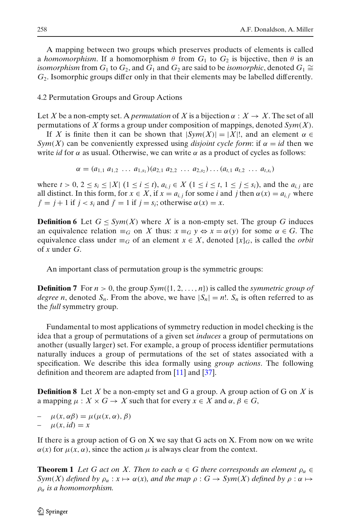<span id="page-7-0"></span>A mapping between two groups which preserves products of elements is called a *homomorphism*. If a homomorphism  $\theta$  from  $G_1$  to  $G_2$  is bijective, then  $\theta$  is an *isomorphism* from  $G_1$  to  $G_2$ , and  $G_1$  and  $G_2$  are said to be *isomorphic*, denoted  $G_1 \cong$ *G*2. Isomorphic groups differ only in that their elements may be labelled differently.

## 4.2 Permutation Groups and Group Actions

Let X be a non-empty set. A *permutation* of X is a bijection  $\alpha : X \to X$ . The set of all permutations of *X* forms a group under composition of mappings, denoted *Sym*(*X*).

If X is finite then it can be shown that  $|Sym(X)| = |X|!$ , and an element  $\alpha \in$ *Sym(X)* can be conveniently expressed using *disjoint cycle form*: if  $\alpha = id$  then we write *id* for  $\alpha$  as usual. Otherwise, we can write  $\alpha$  as a product of cycles as follows:

$$
\alpha = (a_{1,1} \ a_{1,2} \ \ldots \ a_{1,s_1})(a_{2,1} \ a_{2,2} \ \ldots \ a_{2,s_2}) \ldots (a_{t,1} \ a_{t,2} \ \ldots \ a_{t,s_t})
$$

where  $t > 0$ ,  $2 \le s_i \le |X|$   $(1 \le i \le t)$ ,  $a_{i,j} \in X$   $(1 \le i \le t, 1 \le j \le s_i)$ , and the  $a_{i,j}$  are all distinct. In this form, for  $x \in X$ , if  $x = a_{i,j}$  for some *i* and *j* then  $\alpha(x) = a_{i,j}$  where  $j' = j + 1$  if  $j < s_i$  and  $j' = 1$  if  $j = s_i$ ; otherwise  $\alpha(x) = x$ .

**Definition 6** Let  $G \leq Sym(X)$  where X is a non-empty set. The group G induces an equivalence relation  $\equiv_G$  on *X* thus:  $x \equiv_G y \Leftrightarrow x = \alpha(y)$  for some  $\alpha \in G$ . The equivalence class under  $\equiv_G$  of an element  $x \in X$ , denoted  $[x]_G$ , is called the *orbit* of *x* under *G*.

An important class of permutation group is the symmetric groups:

**Definition 7** For  $n > 0$ , the group  $Sym({1, 2, ..., n})$  is called the *symmetric group of degree n*, denoted  $S_n$ . From the above, we have  $|S_n| = n!$ .  $S_n$  is often referred to as the *full* symmetry group.

Fundamental to most applications of symmetry reduction in model checking is the idea that a group of permutations of a given set *induces* a group of permutations on another (usually larger) set. For example, a group of process identifier permutations naturally induces a group of permutations of the set of states associated with a specification. We describe this idea formally using *group actions*. The following definition and theorem are adapted from [\[11\]](#page-41-0) and [\[37\]](#page-42-0).

**Definition 8** Let *X* be a non-empty set and G a group. A group action of G on *X* is a mapping  $\mu$ :  $X \times G \rightarrow X$  such that for every  $x \in X$  and  $\alpha, \beta \in G$ ,

 $\mu(x, \alpha\beta) = \mu(\mu(x, \alpha), \beta)$  $\mu(x, id) = x$ 

If there is a group action of G on X we say that G acts on X. From now on we write  $\alpha(x)$  for  $\mu(x, \alpha)$ , since the action  $\mu$  is always clear from the context.

**Theorem 1** Let G act on X. Then to each  $\alpha \in G$  there corresponds an element  $\rho_{\alpha} \in G$ *Sym*(*X*) *defined by*  $\rho_{\alpha}: x \mapsto \alpha(x)$ *, and the map*  $\rho: G \to Sym(X)$  *defined by*  $\rho: \alpha \mapsto$ ρα *is a homomorphism.*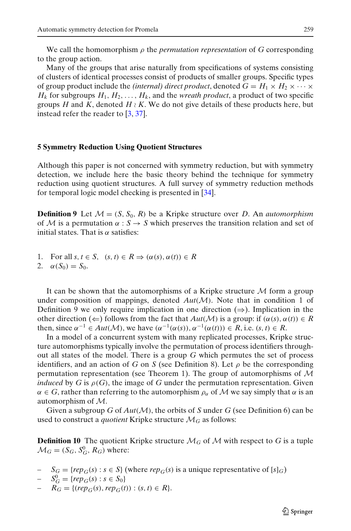<span id="page-8-0"></span>We call the homomorphism  $\rho$  the *permutation representation* of  $G$  corresponding to the group action.

Many of the groups that arise naturally from specifications of systems consisting of clusters of identical processes consist of products of smaller groups. Specific types of group product include the *(internal) direct product*, denoted  $G = H_1 \times H_2 \times \cdots \times$  $H_k$  for subgroups  $H_1, H_2, \ldots, H_k$ , and the *wreath product*, a product of two specific groups *H* and *K*, denoted  $H \wr K$ . We do not give details of these products here, but instead refer the reader to  $\left[3, 37\right]$  $\left[3, 37\right]$  $\left[3, 37\right]$ .

### **5 Symmetry Reduction Using Quotient Structures**

Although this paper is not concerned with symmetry reduction, but with symmetry detection, we include here the basic theory behind the technique for symmetry reduction using quotient structures. A full survey of symmetry reduction methods for temporal logic model checking is presented in [\[34\]](#page-42-0).

**Definition 9** Let  $\mathcal{M} = (S, S_0, R)$  be a Kripke structure over *D*. An *automorphism* of M is a permutation  $\alpha : S \to S$  which preserves the transition relation and set of initial states. That is  $\alpha$  satisfies:

- 1. For all  $s, t \in S$ ,  $(s, t) \in R \Rightarrow (\alpha(s), \alpha(t)) \in R$
- 2.  $\alpha(S_0) = S_0$ .

It can be shown that the automorphisms of a Kripke structure  $M$  form a group under composition of mappings, denoted  $Aut(M)$ . Note that in condition 1 of Definition 9 we only require implication in one direction  $(\Rightarrow)$ . Implication in the other direction ( $\Leftarrow$ ) follows from the fact that  $Aut(\mathcal{M})$  is a group: if  $(\alpha(s), \alpha(t)) \in R$ then, since  $\alpha^{-1} \in Aut(\mathcal{M})$ , we have  $(\alpha^{-1}(\alpha(s)), \alpha^{-1}(\alpha(t))) \in R$ , i.e.  $(s, t) \in R$ .

In a model of a concurrent system with many replicated processes, Kripke structure automorphisms typically involve the permutation of process identifiers throughout all states of the model. There is a group *G* which permutes the set of process identifiers, and an action of *G* on *S* (see Definition 8). Let  $\rho$  be the corresponding permutation representation (see Theorem 1). The group of automorphisms of  $M$ *induced* by *G* is  $\rho(G)$ , the image of *G* under the permutation representation. Given  $\alpha \in G$ , rather than referring to the automorphism  $\rho_{\alpha}$  of M we say simply that  $\alpha$  is an automorphism of M.

Given a subgroup *G* of  $Aut(M)$ , the orbits of *S* under *G* (see Definition 6) can be used to construct a *quotient* Kripke structure  $\mathcal{M}_G$  as follows:

**Definition 10** The quotient Kripke structure  $\mathcal{M}_G$  of  $\mathcal{M}$  with respect to G is a tuple  $\mathcal{M}_G = (S_G, S_G^0, R_G)$  where:

- $S_G = \{rep_G(s) : s \in S\}$  (where  $rep_G(s)$  is a unique representative of  $[s]_G$ )
- $-S_G^0 = \{rep_G(s) : s \in S_0\}$
- $R_G = \{ (rep_G(s), rep_G(t)) : (s, t) \in R \}.$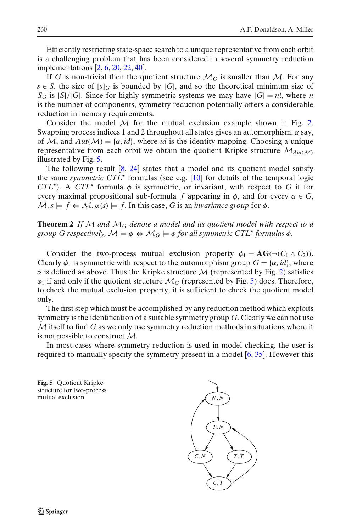Efficiently restricting state-space search to a unique representative from each orbit is a challenging problem that has been considered in several symmetry reduction implementations [\[2](#page-41-0), [6,](#page-41-0) [20,](#page-41-0) [22](#page-41-0), [40](#page-42-0)].

If *G* is non-trivial then the quotient structure  $\mathcal{M}_G$  is smaller than  $\mathcal{M}$ . For any  $s \in S$ , the size of  $[s]_G$  is bounded by  $|G|$ , and so the theoretical minimum size of  $S_G$  is  $|S|/|G|$ . Since for highly symmetric systems we may have  $|G| = n!$ , where *n* is the number of components, symmetry reduction potentially offers a considerable reduction in memory requirements.

Consider the model  $M$  for the mutual exclusion example shown in Fig. [2.](#page-4-0) Swapping process indices 1 and 2 throughout all states gives an automorphism,  $\alpha$  say, of M, and  $Aut(\mathcal{M}) = \{\alpha, id\}$ , where *id* is the identity mapping. Choosing a unique representative from each orbit we obtain the quotient Kripke structure  $\mathcal{M}_{Aut(M)}$ illustrated by Fig. 5.

The following result  $[8, 24]$  $[8, 24]$  $[8, 24]$  states that a model and its quotient model satisfy the same *symmetric CTL* formulas (see e.g. [\[10\]](#page-41-0) for details of the temporal logic *CTL*<sup>\*</sup>). A *CTL*<sup>\*</sup> formula  $\phi$  is symmetric, or invariant, with respect to *G* if for every maximal propositional sub-formula *f* appearing in  $\phi$ , and for every  $\alpha \in G$ ,  $\mathcal{M}, s \models f \Leftrightarrow \mathcal{M}, \alpha(s) \models f$ . In this case, G is an *invariance group* for  $\phi$ .

**Theorem 2** If M and  $\mathcal{M}_G$  denote a model and its quotient model with respect to a *group G respectively,*  $\mathcal{M} \models \phi \Leftrightarrow \mathcal{M}_G \models \phi$  *for all symmetric CTL\* formulas*  $\phi$ *.* 

Consider the two-process mutual exclusion property  $\phi_1 = \mathbf{AG}(\neg(C_1 \land C_2)).$ Clearly  $\phi_1$  is symmetric with respect to the automorphism group  $G = {\alpha, id}$ , where  $\alpha$  is defined as above. Thus the Kripke structure M (represented by Fig. [2\)](#page-4-0) satisfies  $\phi_1$  if and only if the quotient structure  $\mathcal{M}_G$  (represented by Fig. 5) does. Therefore, to check the mutual exclusion property, it is sufficient to check the quotient model only.

The first step which must be accomplished by any reduction method which exploits symmetry is the identification of a suitable symmetry group *G*. Clearly we can not use M itself to find *G* as we only use symmetry reduction methods in situations where it is not possible to construct  $\mathcal{M}$ .

In most cases where symmetry reduction is used in model checking, the user is required to manually specify the symmetry present in a model [\[6](#page-41-0), [35\]](#page-42-0). However this



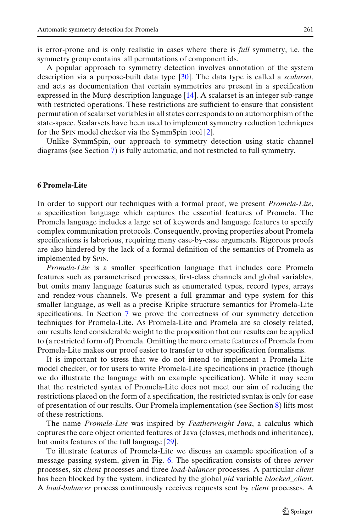<span id="page-10-0"></span>is error-prone and is only realistic in cases where there is *full* symmetry, i.e. the symmetry group contains all permutations of component ids.

A popular approach to symmetry detection involves annotation of the system description via a purpose-built data type [\[30](#page-42-0)]. The data type is called a *scalarset*, and acts as documentation that certain symmetries are present in a specification expressed in the Mur $\phi$  description language [\[14\]](#page-41-0). A scalarset is an integer sub-range with restricted operations. These restrictions are sufficient to ensure that consistent permutation of scalarset variables in all states corresponds to an automorphism of the state-space. Scalarsets have been used to implement symmetry reduction techniques for the SPIN model checker via the SymmSpin tool [\[2](#page-41-0)].

Unlike SymmSpin, our approach to symmetry detection using static channel diagrams (see Section [7\)](#page-16-0) is fully automatic, and not restricted to full symmetry.

#### **6 Promela-Lite**

In order to support our techniques with a formal proof, we present *Promela-Lite*, a specification language which captures the essential features of Promela. The Promela language includes a large set of keywords and language features to specify complex communication protocols. Consequently, proving properties about Promela specifications is laborious, requiring many case-by-case arguments. Rigorous proofs are also hindered by the lack of a formal definition of the semantics of Promela as implemented by SPIN.

*Promela-Lite* is a smaller specification language that includes core Promela features such as parameterised processes, first-class channels and global variables, but omits many language features such as enumerated types, record types, arrays and rendez-vous channels. We present a full grammar and type system for this smaller language, as well as a precise Kripke structure semantics for Promela-Lite specifications. In Section [7](#page-16-0) we prove the correctness of our symmetry detection techniques for Promela-Lite. As Promela-Lite and Promela are so closely related, our results lend considerable weight to the proposition that our results can be applied to (a restricted form of) Promela. Omitting the more ornate features of Promela from Promela-Lite makes our proof easier to transfer to other specification formalisms.

It is important to stress that we do not intend to implement a Promela-Lite model checker, or for users to write Promela-Lite specifications in practice (though we do illustrate the language with an example specification). While it may seem that the restricted syntax of Promela-Lite does not meet our aim of reducing the restrictions placed on the form of a specification, the restricted syntax is only for ease of presentation of our results. Our Promela implementation (see Section [8\)](#page-28-0) lifts most of these restrictions.

The name *Promela-Lite* was inspired by *Featherweight Java*, a calculus which captures the core object oriented features of Java (classes, methods and inheritance), but omits features of the full language [\[29](#page-42-0)].

To illustrate features of Promela-Lite we discuss an example specification of a message passing system, given in Fig. [6.](#page-11-0) The specification consists of three *server* processes, six *client* processes and three *load-balancer* processes. A particular *client* has been blocked by the system, indicated by the global *pid* variable *blocked\_client*. A *load-balancer* process continuously receives requests sent by *client* processes. A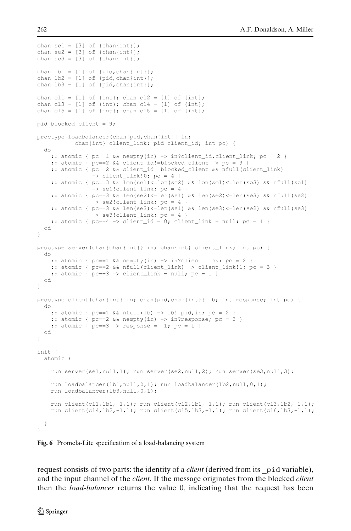```
chan sel = [3] of {chain};
chan se2 = [3] of {chain{i}}chan se3 = [3] of {chan{int}};
chan 1b1 = [1] of \{pid, chan\{int\}\};
chan lb2 = [1] of \{pid, chan\{int\}\}\;
chan lb3 = [1] of \{pid, chan\{int\}\};
chan cl1 = [1] of \{int\}; chan cl2 = [1] of \{int\};
chan cl3 = [1] of {int}; chan cl4 = [1] of {int};
chan cl5 = [1] of \{int\}; chan cl6 = [1] of \{int\};
pid blocked client = 9;
proctype loadbalancer(chan{pid,chan{int}} in;
            chan{int} client_link; pid client_id; int pc) {
  d\alpha:: atomic { pc==1 && nempty(in) -> in?client_id,client_link; pc = 2 }
    :: atomic { pc==2 && client_id!=blocked_client -> pc = 3 }
    :: atomic { pc==2 && client_id==blocked_client && nfull(client_link)
                 \Rightarrow client_link!0; pc = 4 }
    :: atomic { pc==3 && len(sel)<=len(se2) && len(sel)<=len(se3) && nfull(se1)
                 \Rightarrow sel!client_link; pc = 4 }
    :: atomic { pc==3 && len(se2) <= len(se1) && len(se2) <= len(se3) && nfull(se2)
                 \rightarrow se2!client_link; pc = 4 }
    :: atomic { pc==3 && len(se3) <= len(se1) && len(se3) <= len(se2) && nfull(se3)
                 \Rightarrow se3!client_link; pc = 4 }
    :: atomic { pc==4 -> client_id = 0; client_link = null; pc = 1 }
  od
\mathcal{V}proctype server(chan{chan{int}} in; chan{int} client_link; int pc) {
 do
   :: atomic { pc==1 && nempty(in) -> in?client_link; pc = 2 }
   :: atomic { pc==2 && nfull(client_link) -> client_link!1; pc = 3 }
   :: atomic { pc==3 -> client_link = null; pc = 1 }
  od
\,proctype client(chan{int} in; chan{pid,chan{int}} lb; int response; int pc) {
  do
    :: atomic { pc==1 && nfull(lb) -> lb!_pid, in; pc = 2 }
    :: atomic { pc==2 && nempty(in) -> in?response; pc = 3 }
    :: atomic { pc==3 \rightarrow response = -1; pc = 1 }
  od
\overline{ }init {
 atomic {
    run server(sel, null, 1); run server(se2, null, 2); run server(se3, null, 3);
    run loadbalancer(1b1, null, 0, 1); run loadbalancer(1b2, null, 0, 1);
    run loadbalancer(lb3, null, 0, 1);
    run client (cl1, lb1,-1,1); run client (cl2, lb1,-1,1); run client (cl3, lb2,-1,1);
    run client (cl4, lb2, -1, 1); run client (cl5, lb3, -1, 1); run client (cl6, lb3, -1, 1);
  \rightarrow\mathcal{V}
```
**Fig. 6** Promela-Lite specification of a load-balancing system

request consists of two parts: the identity of a *client* (derived from its \_pid variable), and the input channel of the *client*. If the message originates from the blocked *client* then the *load-balancer* returns the value 0, indicating that the request has been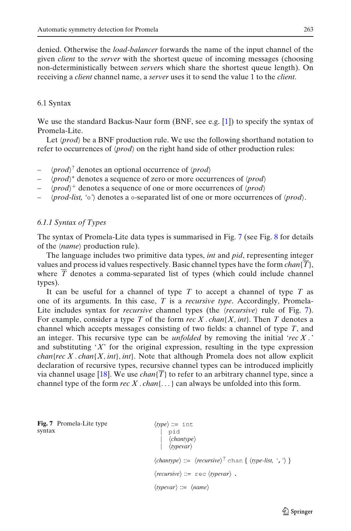denied. Otherwise the *load-balancer* forwards the name of the input channel of the given *client* to the *server* with the shortest queue of incoming messages (choosing non-deterministically between *server*s which share the shortest queue length). On receiving a *client* channel name, a *server* uses it to send the value 1 to the *client*.

## 6.1 Syntax

We use the standard Backus-Naur form (BNF, see e.g. [\[1](#page-41-0)]) to specify the syntax of Promela-Lite.

Let  $\langle prod \rangle$  be a BNF production rule. We use the following shorthand notation to refer to occurrences of  $\langle prod \rangle$  on the right hand side of other production rules:

- *prod*? denotes an optional occurrence of *prod*
- *prod*∗ denotes a sequence of zero or more occurrences of *prod*
- $\langle prod \rangle^+$  denotes a sequence of one or more occurrences of  $\langle prod \rangle$
- *prod-list, '*◦*'* denotes a ◦-separated list of one or more occurrences of *prod*.

## *6.1.1 Syntax of Types*

The syntax of Promela-Lite data types is summarised in Fig. 7 (see Fig. [8](#page-13-0) for details of the  $\langle name \rangle$  production rule).

The language includes two primitive data types, *int* and *pid*, representing integer values and process id values respectively. Basic channel types have the form  $chan{\bar{T}}$ , where  $\overline{T}$  denotes a comma-separated list of types (which could include channel types).

It can be useful for a channel of type *T* to accept a channel of type *T* as one of its arguments. In this case, *T* is a *recursive type*. Accordingly, Promela-Lite includes syntax for *recursive* channel types (the *{recursive}* rule of Fig. 7). For example, consider a type *T* of the form *rec X* . *chan*{*X*, *int*}. Then *T* denotes a channel which accepts messages consisting of two fields: a channel of type *T*, and an integer. This recursive type can be *unfolded* by removing the initial '*rec X* . ' and substituting '*X*' for the original expression, resulting in the type expression *chan{rec X . chan{X, int}, int}.* Note that although Promela does not allow explicit declaration of recursive types, recursive channel types can be introduced implicitly via channel usage [\[18](#page-41-0)]. We use *chan*{ $\overline{T}$ } to refer to an arbitrary channel type, since a channel type of the form *rec X* . *chan*{...} can always be unfolded into this form.

**Fig. 7** Promela-Lite type syntax

```
\langle type \rangle ::= \text{int}pid
              \langle \textit{chantype} \rangle\langle \text{hyperar} \rangle\langle \textit{chantype} \rangle ::= \langle \textit{recursive} \rangle^? \text{ chan } \{ \langle \textit{type-list}, ', ' \rangle \}\langle recursive \rangle ::= \text{rec } \langle typevar \rangle.
\langle \textit{typevar} \rangle ::= \langle \textit{name} \rangle
```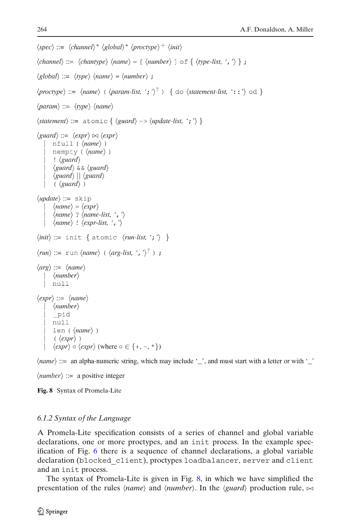```
\langle spec \rangle ::= \langle channel \rangle^* \langle global \rangle^* \langle proctype \rangle^+ \langle init \rangle\langle channel \rangle ::= \langle chamber \rangle \langle name \rangle = [\langle number \rangle] \circ f \{ \langle type-list, ', ' \rangle \};
\langle global \rangle ::= \langle type \rangle \langle name \rangle = \langle number \rangle;
\langle \textit{proctype} \rangle ::= \langle \textit{name} \rangle (\langle \textit{param-list}, '; '\rangle^?) { do \langle \textit{statement-list}, ': : '\rangle od }
\langle param \rangle ::= \langle type \rangle \langle name \rangle\langle statement \rangle ::= \text{atomic } \{ \langle guard \rangle \rightarrow \langle update-list, ';' \rangle \}\langle guard \rangle ::= \langle expr \rangle \bowtie \langle expr \ranglenfull (\langle name \rangle)nempty (\langle name \rangle)
          \frac{1}{2} (guard)
           \langleguard\rangle & \& \langleguard\rangle\langle \text{guard} \rangle \mid \langle \text{guard} \rangle\langle \langle \text{guard} \rangle \rangle\langle update \rangle ::= skip
           \langle name \rangle = \langle expr \rangle\langle name \rangle ? \langle name-list, ', ' \rangle\langle name \rangle ! \langle expr-list, ', ' \rangle\langle init \rangle ::= init \{ atomic \langle run-list, '; ' \rangle \}\langle run \rangle ::= \text{run} \langle name \rangle (\langle arg-list, ', ' \rangle^?);
\langle arg \rangle ::= \langle name \rangle\langlenumber\ranglenull
\langle expr \rangle ::= \langle name \rangle\langlenumber\ranglepid
          null
          len (\langle name \rangle)
            (\langle expr \rangle)\langle expr \rangle \circ \langle expr \rangle (where \circ \in \{+, -, *\}))
```
 $\langle name \rangle ::=$  an alpha-numeric string, which may include '\_', and must start with a letter or with '\_'

 $\langle number \rangle ::= a positive integer$ 

**Fig. 8** Syntax of Promela-Lite

## *6.1.2 Syntax of the Language*

A Promela-Lite specification consists of a series of channel and global variable declarations, one or more proctypes, and an init process. In the example specification of Fig. [6](#page-11-0) there is a sequence of channel declarations, a global variable declaration (blocked\_client), proctypes loadbalancer, server and client and an init process.

The syntax of Promela-Lite is given in Fig. 8, in which we have simplified the presentation of the rules *(name)* and  $\langle$ *number)*. In the  $\langle$ *guard* $\rangle$  production rule,  $\approx$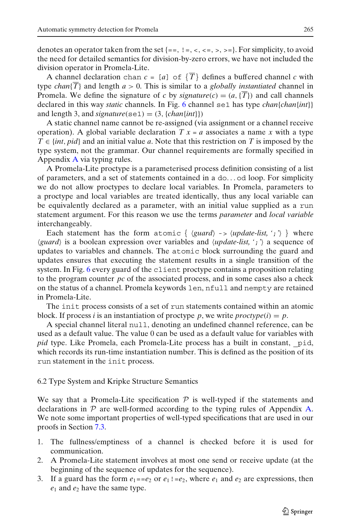<span id="page-14-0"></span>denotes an operator taken from the set  $\{=\,,\,:\,=,\,\times,\,\times\}$ . For simplicity, to avoid the need for detailed semantics for division-by-zero errors, we have not included the division operator in Promela-Lite.

A channel declaration chan  $c = [a]$  of  $\{\overline{T}\}\$  defines a buffered channel *c* with type *chan* $\{T\}$  and length  $a > 0$ . This is similar to a *globally instantiated* channel in Promela. We define the signature of *c* by *signature*(*c*) =  $(a, {\overline{T}})$  and call channels declared in this way *static* channels. In Fig. [6](#page-11-0) channel se1 has type *chan*{*chan*{*int*}} and length 3, and *signature*(se1) =  $(3, {chain{int}})$ 

A static channel name cannot be re-assigned (via assignment or a channel receive operation). A global variable declaration  $T x = a$  associates a name x with a type  $T \in \{int, pid\}$  and an initial value *a*. Note that this restriction on *T* is imposed by the type system, not the grammar. Our channel requirements are formally specified in Appendix [A](#page-34-0) via typing rules.

A Promela-Lite proctype is a parameterised process definition consisting of a list of parameters, and a set of statements contained in a do... od loop. For simplicity we do not allow proctypes to declare local variables. In Promela, parameters to a proctype and local variables are treated identically, thus any local variable can be equivalently declared as a parameter, with an initial value supplied as a run statement argument. For this reason we use the terms *parameter* and *local variable* interchangeably.

Each statement has the form atomic  $\{ \langle \text{guard} \rangle \rightarrow \langle \text{update-list}, ';' \rangle \}$  where *guard* is a boolean expression over variables and *update-list, '*;*'* a sequence of updates to variables and channels. The atomic block surrounding the guard and updates ensures that executing the statement results in a single transition of the system. In Fig. [6](#page-11-0) every guard of the client proctype contains a proposition relating to the program counter *pc* of the associated process, and in some cases also a check on the status of a channel. Promela keywords len, nfull and nempty are retained in Promela-Lite.

The init process consists of a set of run statements contained within an atomic block. If process *i* is an instantiation of proctype *p*, we write  $\text{proctype}(i) = p$ .

A special channel literal null, denoting an undefined channel reference, can be used as a default value. The value 0 can be used as a default value for variables with *pid* type. Like Promela, each Promela-Lite process has a built in constant, \_pid, which records its run-time instantiation number. This is defined as the position of its run statement in the init process.

### 6.2 Type System and Kripke Structure Semantics

We say that a Promela-Lite specification  $P$  is well-typed if the statements and declarations in  $P$  are well-formed according to the typing rules of Appendix [A.](#page-34-0) We note some important properties of well-typed specifications that are used in our proofs in Section [7.3.](#page-19-0)

- 1. The fullness/emptiness of a channel is checked before it is used for communication.
- 2. A Promela-Lite statement involves at most one send or receive update (at the beginning of the sequence of updates for the sequence).
- 3. If a guard has the form  $e_1 = -e_2$  or  $e_1 = -e_2$ , where  $e_1$  and  $e_2$  are expressions, then *e*<sup>1</sup> and *e*<sup>2</sup> have the same type.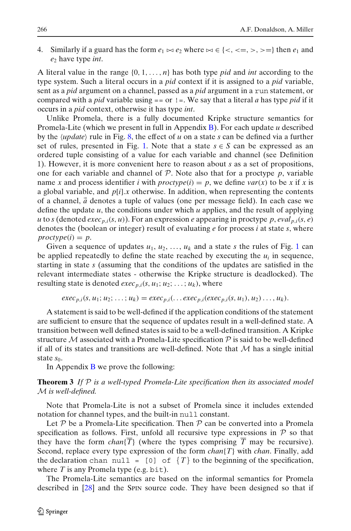4. Similarly if a guard has the form  $e_1 \bowtie e_2$  where  $\bowtie \in \{<, <, >, >\}$  then  $e_1$  and *e*<sup>2</sup> have type *int*.

A literal value in the range {0, 1,..., *n*} has both type *pid* and *int* according to the type system. Such a literal occurs in a *pid* context if it is assigned to a *pid* variable, sent as a *pid* argument on a channel, passed as a *pid* argument in a run statement, or compared with a *pid* variable using == or !=. We say that a literal *a* has type *pid* if it occurs in a *pid* context, otherwise it has type *int*.

Unlike Promela, there is a fully documented Kripke structure semantics for Promela-Lite (which we present in full in Appendix [B\)](#page-35-0). For each update *u* described by the  $\langle update \rangle$  rule in Fig. [8,](#page-13-0) the effect of  $u$  on a state  $s$  can be defined via a further set of rules, presented in Fig. [1.](#page-3-0) Note that a state  $s \in S$  can be expressed as an ordered tuple consisting of a value for each variable and channel (see Definition 1). However, it is more convenient here to reason about *s* as a set of propositions, one for each variable and channel of  $P$ . Note also that for a proctype  $p$ , variable name *x* and process identifier *i* with  $proctype(i) = p$ , we define  $var(x)$  to be *x* if *x* is a global variable, and *p*[*i*].*x* otherwise. In addition, when representing the contents of a channel, *a* denotes a tuple of values (one per message field). In each case we define the update  $u$ , the conditions under which  $u$  applies, and the result of applying  $u$  to *s* (denoted *exec<sub>p,i</sub>*(*s*, *u*)). For an expression *e* appearing in proctype *p*, *eval*<sub>*p,i*</sub>(*s*, *e*) denotes the (boolean or integer) result of evaluating *e* for process *i* at state *s*, where  $proctype(i) = p$ .

Given a sequence of updates  $u_1, u_2, \ldots, u_k$  $u_1, u_2, \ldots, u_k$  $u_1, u_2, \ldots, u_k$  and a state *s* the rules of Fig. 1 can be applied repeatedly to define the state reached by executing the  $u_i$  in sequence, starting in state *s* (assuming that the conditions of the updates are satisfied in the relevant intermediate states - otherwise the Kripke structure is deadlocked). The resulting state is denoted  $exec_{p,i}(s, u_1; u_2; \ldots; u_k)$ , where

$$
exec_{p,i}(s, u_1; u_2; \ldots; u_k) = exec_{p,i}(\ldots exec_{p,i}(exec_{p,i}(s, u_1), u_2) \ldots, u_k).
$$

A statement is said to be well-defined if the application conditions of the statement are sufficient to ensure that the sequence of updates result in a well-defined state. A transition between well defined states is said to be a well-defined transition. A Kripke structure M associated with a Promela-Lite specification  $P$  is said to be well-defined if all of its states and transitions are well-defined. Note that  $M$  has a single initial state *s*<sub>0</sub>.

In Appendix  $\bf{B}$  $\bf{B}$  $\bf{B}$  we prove the following:

## **Theorem 3** *If* P *is a well-typed Promela-Lite specification then its associated model* M *is well-defined.*

Note that Promela-Lite is not a subset of Promela since it includes extended notation for channel types, and the built-in null constant.

Let  $P$  be a Promela-Lite specification. Then  $P$  can be converted into a Promela specification as follows. First, unfold all recursive type expressions in  $P$  so that they have the form *chan*{ $\overline{T}$ } (where the types comprising  $\overline{T}$  may be recursive). Second, replace every type expression of the form *chan*{*T*} with *chan*. Finally, add the declaration chan null =  $[0]$  of  $\{T\}$  to the beginning of the specification, where  $T$  is any Promela type (e.g. bit).

The Promela-Lite semantics are based on the informal semantics for Promela described in [\[28](#page-42-0)] and the SPIN source code. They have been designed so that if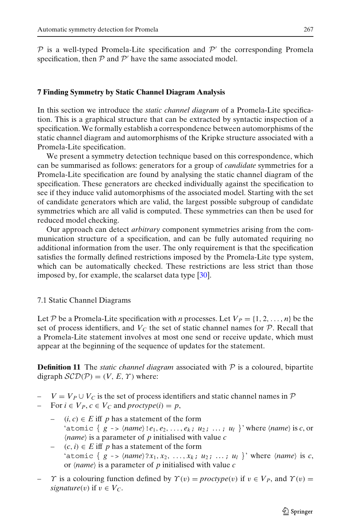## <span id="page-16-0"></span>**7 Finding Symmetry by Static Channel Diagram Analysis**

In this section we introduce the *static channel diagram* of a Promela-Lite specification. This is a graphical structure that can be extracted by syntactic inspection of a specification. We formally establish a correspondence between automorphisms of the static channel diagram and automorphisms of the Kripke structure associated with a Promela-Lite specification.

We present a symmetry detection technique based on this correspondence, which can be summarised as follows: generators for a group of *candidate* symmetries for a Promela-Lite specification are found by analysing the static channel diagram of the specification. These generators are checked individually against the specification to see if they induce valid automorphisms of the associated model. Starting with the set of candidate generators which are valid, the largest possible subgroup of candidate symmetries which are all valid is computed. These symmetries can then be used for reduced model checking.

Our approach can detect *arbitrary* component symmetries arising from the communication structure of a specification, and can be fully automated requiring no additional information from the user. The only requirement is that the specification satisfies the formally defined restrictions imposed by the Promela-Lite type system, which can be automatically checked. These restrictions are less strict than those imposed by, for example, the scalarset data type [\[30](#page-42-0)].

## 7.1 Static Channel Diagrams

Let P be a Promela-Lite specification with *n* processes. Let  $V_P = \{1, 2, ..., n\}$  be the set of process identifiers, and  $V_C$  the set of static channel names for  $P$ . Recall that a Promela-Lite statement involves at most one send or receive update, which must appear at the beginning of the sequence of updates for the statement.

**Definition 11** The *static channel diagram* associated with P is a coloured, bipartite digraph  $\mathcal{SCD}(\mathcal{P}) = (V, E, \Upsilon)$  where:

 $V = V_P \cup V_C$  is the set of process identifiers and static channel names in  $\mathcal P$ 

*−* For  $i \in V_P$ ,  $c \in V_C$  and  $proctype(i) = p$ ,

- $(i, c) \in E$  iff *p* has a statement of the form 'atomic {  $g \rightarrow \langle name \rangle \cdot e_1, e_2, \ldots, e_k; u_2; \ldots; u_l \rangle$ ' where  $\langle name \rangle$  is *c*, or  $\langle name \rangle$  is a parameter of *p* initialised with value *c*
- $(c, i) \in E$  iff *p* has a statement of the form 'atomic {  $g \rightarrow \langle name \rangle ?x_1, x_2, ..., x_k; u_2; ...; u_l$  }' where  $\langle name \rangle$  is *c*, or *name* is a parameter of *p* initialised with value *c*
- $\gamma$  is a colouring function defined by  $\gamma(v) = \text{proctype}(v)$  if  $v \in V_P$ , and  $\gamma(v) =$ *signature*(*v*) if  $v \in V_C$ .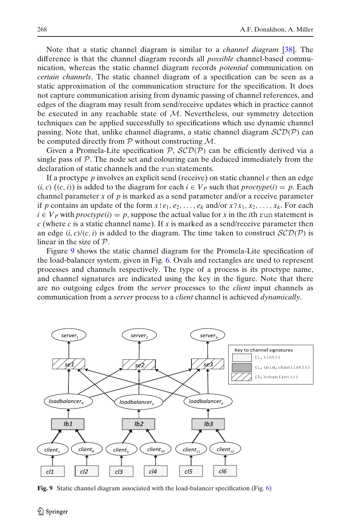<span id="page-17-0"></span>Note that a static channel diagram is similar to a *channel diagram* [\[38](#page-42-0)]. The difference is that the channel diagram records all *possible* channel-based communication, whereas the static channel diagram records *potential* communication on *certain channels*. The static channel diagram of a specification can be seen as a static approximation of the communication structure for the specification. It does not capture communication arising from dynamic passing of channel references, and edges of the diagram may result from send/receive updates which in practice cannot be executed in any reachable state of  $M$ . Nevertheless, our symmetry detection techniques can be applied successfully to specifications which use dynamic channel passing. Note that, unlike channel diagrams, a static channel diagram  $\mathcal{SCD}(\mathcal{P})$  can be computed directly from  $P$  without constructing  $M$ .

Given a Promela-Lite specification  $P$ ,  $SCD(P)$  can be efficiently derived via a single pass of  $P$ . The node set and colouring can be deduced immediately from the declaration of static channels and the run statements.

If a proctype *p* involves an explicit send (receive) on static channel *c* then an edge  $(i, c)$   $((c, i))$  is added to the diagram for each  $i \in V_p$  such that  $\text{proctype}(i) = p$ . Each channel parameter *x* of *p* is marked as a send parameter and/or a receive parameter if *p* contains an update of the form  $x!e_1, e_2, \ldots, e_k$  and/or  $x?x_1, x_2, \ldots, x_k$ . For each  $i \in V_P$  with *proctype*(*i*) = *p*, suppose the actual value for *x* in the *i*th run statement is *c* (where *c* is a static channel name). If *x* is marked as a send/receive parameter then an edge  $(i, c)/(c, i)$  is added to the diagram. The time taken to construct  $\mathcal{SCD}(\mathcal{P})$  is linear in the size of  $P$ .

Figure 9 shows the static channel diagram for the Promela-Lite specification of the load-balancer system, given in Fig. [6.](#page-11-0) Ovals and rectangles are used to represent processes and channels respectively. The type of a process is its proctype name, and channel signatures are indicated using the key in the figure. Note that there are no outgoing edges from the *server* processes to the *client* input channels as communication from a *server* process to a *client* channel is achieved *dynamically*.



**Fig. 9** Static channel diagram associated with the load-balancer specification (Fig. [6\)](#page-11-0)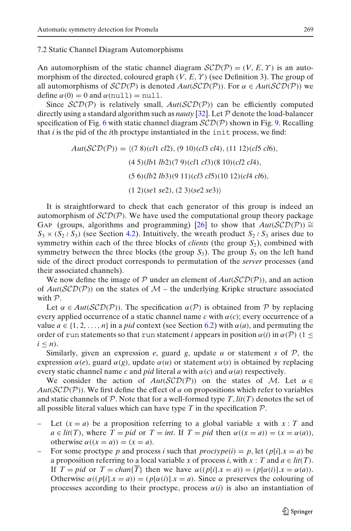### <span id="page-18-0"></span>7.2 Static Channel Diagram Automorphisms

An automorphism of the static channel diagram  $\mathcal{SCD}(\mathcal{P}) = (V, E, \Upsilon)$  is an automorphism of the directed, coloured graph  $(V, E, \Upsilon)$  (see Definition 3). The group of all automorphisms of  $\mathcal{SCD}(\mathcal{P})$  is denoted  $Aut(\mathcal{SCD}(\mathcal{P}))$ . For  $\alpha \in Aut(\mathcal{SCD}(\mathcal{P}))$  we define  $\alpha(0) = 0$  and  $\alpha(\text{null}) = \text{null}$ .

Since  $\mathcal{SCD}(\mathcal{P})$  is relatively small,  $Aut(\mathcal{SCD}(\mathcal{P}))$  can be efficiently computed directly using a standard algorithm such as *nauty* [\[32\]](#page-42-0). Let P denote the load-balancer specification of Fig. [6](#page-11-0) with static channel diagram  $\mathcal{SCD}(\mathcal{P})$  shown in Fig. [9.](#page-17-0) Recalling that *i* is the pid of the *i*th proctype instantiated in the init process, we find:

> $Aut(\mathcal{SCD}(P)) = \langle (7 \ 8)(c11 \ c12), (9 \ 10)(c13 \ c14), (11 \ 12)(c15 \ c16),$ (4 5)(*lb*1 *lb*2)(7 9)(*cl*1 *cl*3)(8 10)(*cl*2 *cl*4), (5 6)(*lb*2 *lb*3)(9 11)(*cl*3 *cl*5)(10 12)(*cl*4 *cl*6), (1 2)(*se*1 *se*2),(2 3)(*se*2 *se*3)

It is straightforward to check that each generator of this group is indeed an automorphism of  $\mathcal{SCD}(P)$ . We have used the computational group theory package GAP (groups, algorithms and programming) [\[26](#page-42-0)] to show that  $Aut(SCD(\mathcal{P})) \cong$  $S_3 \times (S_2 \wr S_3)$  (see Section [4.2\)](#page-7-0). Intuitively, the wreath product  $S_2 \wr S_3$  arises due to symmetry within each of the three blocks of *clients* (the group  $S_2$ ), combined with symmetry between the three blocks (the group  $S_3$ ). The group  $S_3$  on the left hand side of the direct product corresponds to permutation of the *server* processes (and their associated channels).

We now define the image of  $P$  under an element of  $Aut(SCD(P))$ , and an action of  $Aut(\mathcal{SCD}(P))$  on the states of  $\mathcal{M}$  – the underlying Kripke structure associated with  $P$ .

Let  $\alpha \in Aut(\mathcal{SCD}(\mathcal{P}))$ . The specification  $\alpha(\mathcal{P})$  is obtained from P by replacing every applied occurrence of a static channel name  $c$  with  $\alpha(c)$ ; every occurrence of a value  $a \in \{1, 2, ..., n\}$  in a *pid* context (see Section [6.2\)](#page-14-0) with  $\alpha(a)$ , and permuting the order of run statements so that run statement *i* appears in position  $\alpha(i)$  in  $\alpha(\mathcal{P})$  (1  $\leq$  $i < n$ ).

Similarly, given an expression  $e$ , guard  $g$ , update  $u$  or statement  $s$  of  $P$ , the expression  $\alpha(e)$ , guard  $\alpha(g)$ , update  $\alpha(u)$  or statement  $\alpha(s)$  is obtained by replacing every static channel name *c* and *pid* literal *a* with  $\alpha(c)$  and  $\alpha(a)$  respectively.

We consider the action of  $Aut(\mathcal{SCD}(P))$  on the states of M. Let  $\alpha \in$  $Aut(SCD(\mathcal{P}))$ . We first define the effect of  $\alpha$  on propositions which refer to variables and static channels of P. Note that for a well-formed type  $T$ ,  $lit(T)$  denotes the set of all possible literal values which can have type  $T$  in the specification  $\mathcal{P}$ .

- Let  $(x = a)$  be a proposition referring to a global variable x with  $x : T$  and  $a \in lit(T)$ , where  $T = pid$  or  $T = int$ . If  $T = pid$  then  $\alpha((x = a)) = (x = \alpha(a))$ , otherwise  $\alpha((x = a)) = (x = a)$ .
- For some proctype *p* and process *i* such that  $proctype(i) = p$ , let  $(p[i].x = a)$  be a proposition referring to a local variable *x* of process *i*, with  $x : T$  and  $a \in lit(T)$ . If  $T = pid$  or  $T = chan{\overline{T}}$  then we have  $\alpha((p[i].x = a)) = (p[\alpha(i)].x = \alpha(a)).$ Otherwise  $\alpha((p[i].x = a)) = (p[\alpha(i)].x = a)$ . Since  $\alpha$  preserves the colouring of processes according to their proctype, process  $\alpha(i)$  is also an instantiation of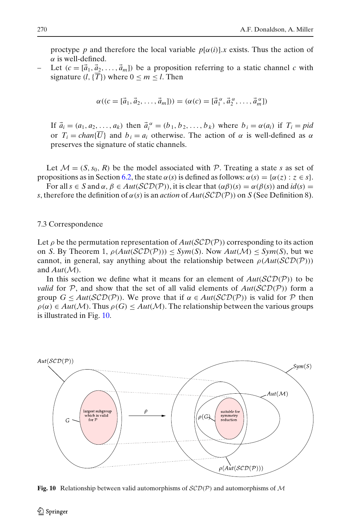<span id="page-19-0"></span>proctype *p* and therefore the local variable  $p[\alpha(i)]$ . *x* exists. Thus the action of  $\alpha$  is well-defined.

Let  $(c = [\vec{a}_1, \vec{a}_2, \dots, \vec{a}_m])$  be a proposition referring to a static channel *c* with signature  $(l, {\overline{T}})$  where  $0 \le m \le l$ . Then

$$
\alpha((c = [\vec{a}_1, \vec{a}_2, \dots, \vec{a}_m])) = (\alpha(c) = [\vec{a}_1^{\alpha}, \vec{a}_2^{\alpha}, \dots, \vec{a}_m^{\alpha}])
$$

If  $\vec{a}_i = (a_1, a_2, \ldots, a_k)$  then  $\vec{a}_i^{\alpha} = (b_1, b_2, \ldots, b_k)$  where  $b_i = \alpha(a_i)$  if  $T_i = pid$ or  $T_i = \text{chan}\{\overline{U}\}\$ and  $b_i = a_i$  otherwise. The action of  $\alpha$  is well-defined as  $\alpha$ preserves the signature of static channels.

Let  $\mathcal{M} = (S, s_0, R)$  be the model associated with P. Treating a state *s* as set of propositions as in Section [6.2,](#page-14-0) the state  $\alpha(s)$  is defined as follows:  $\alpha(s) = {\alpha(z) : z \in s}$ .

For all  $s \in S$  and  $\alpha, \beta \in Aut(\mathcal{SCD}(\mathcal{P}))$ , it is clear that  $(\alpha\beta)(s) = \alpha(\beta(s))$  and  $id(s) =$ *s*, therefore the definition of  $\alpha(s)$  is an *action* of  $Aut(\mathcal{SCD}(P))$  on *S* (See Definition 8).

## 7.3 Correspondence

Let  $\rho$  be the permutation representation of  $Aut(SCD(\mathcal{P}))$  corresponding to its action on *S*. By Theorem 1,  $\rho(Aut(SCD(\mathcal{P}))) \leq Sym(S)$ . Now  $Aut(\mathcal{M}) \leq Sym(S)$ , but we cannot, in general, say anything about the relationship between  $\rho(Aut(SCD(P)))$ and  $Aut(\mathcal{M})$ .

In this section we define what it means for an element of  $Aut(SCD(\mathcal{P}))$  to be *valid* for P, and show that the set of all valid elements of  $Aut(SCD(\mathcal{P}))$  form a group  $G \leq Aut(SCD(\mathcal{P}))$ . We prove that if  $\alpha \in Aut(SCD(\mathcal{P}))$  is valid for  $\mathcal P$  then  $\rho(\alpha) \in Aut(\mathcal{M})$ . Thus  $\rho(G) \leq Aut(\mathcal{M})$ . The relationship between the various groups is illustrated in Fig. 10.



**Fig. 10** Relationship between valid automorphisms of  $SCD(P)$  and automorphisms of M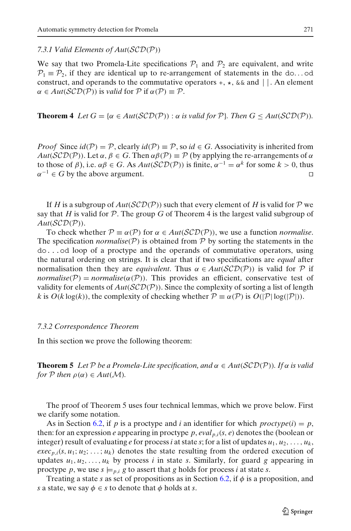<span id="page-20-0"></span>*7.3.1 Valid Elements of Aut*(SCD(P))

We say that two Promela-Lite specifications  $P_1$  and  $P_2$  are equivalent, and write  $\mathcal{P}_1 \equiv \mathcal{P}_2$ , if they are identical up to re-arrangement of statements in the do... od construct, and operands to the commutative operators  $+$ ,  $\star$ ,  $\&\&$  and  $||$ . An element  $\alpha \in Aut(\mathcal{SCD}(P))$  is *valid* for P if  $\alpha(P) \equiv P$ .

**Theorem 4** Let  $G = \{ \alpha \in Aut(\mathcal{SCD}(\mathcal{P})) : \alpha \text{ is valid for } \mathcal{P} \}$ . Then  $G \leq Aut(\mathcal{SCD}(\mathcal{P}))$ .

*Proof* Since  $id(P) = P$ , clearly  $id(P) \equiv P$ , so  $id \in G$ . Associativity is inherited from  $Aut(SCD(\mathcal{P}))$ . Let  $\alpha, \beta \in G$ . Then  $\alpha\beta(\mathcal{P}) \equiv \mathcal{P}$  (by applying the re-arrangements of  $\alpha$ to those of  $\beta$ ), i.e.  $\alpha\beta \in G$ . As  $Aut(\mathcal{SCD}(\mathcal{P}))$  is finite,  $\alpha^{-1} = \alpha^k$  for some  $k > 0$ , thus  $\alpha^{-1} \in G$  by the above argument.

If *H* is a subgroup of  $Aut(SCD(\mathcal{P}))$  such that every element of *H* is valid for  $\mathcal P$  we say that  $H$  is valid for  $P$ . The group  $G$  of Theorem 4 is the largest valid subgroup of *Aut*(SCD(P)).

To check whether  $\mathcal{P} \equiv \alpha(\mathcal{P})$  for  $\alpha \in Aut(\mathcal{SCD}(\mathcal{P}))$ , we use a function *normalise*. The specification *normalise*( $\mathcal{P}$ ) is obtained from  $\mathcal{P}$  by sorting the statements in the do...od loop of a proctype and the operands of commutative operators, using the natural ordering on strings. It is clear that if two specifications are *equal* after normalisation then they are *equivalent*. Thus  $\alpha \in Aut(SCD(\mathcal{P}))$  is valid for  $\mathcal P$  if *normalise*( $\mathcal{P}$ ) = *normalise*( $\alpha$ ( $\mathcal{P}$ )). This provides an efficient, conservative test of validity for elements of  $Aut(\mathcal{SCD}(P))$ . Since the complexity of sorting a list of length *k* is  $O(k \log(k))$ , the complexity of checking whether  $P \equiv \alpha(P)$  is  $O(|P| \log(|P|))$ .

#### *7.3.2 Correspondence Theorem*

In this section we prove the following theorem:

**Theorem 5** Let P be a Promela-Lite specification, and  $\alpha \in Aut(\mathcal{SCD}(\mathcal{P}))$ . If  $\alpha$  is valid *for*  $P$  *then*  $\rho(\alpha) \in Aut(M)$ *.* 

The proof of Theorem 5 uses four technical lemmas, which we prove below. First we clarify some notation.

As in Section [6.2,](#page-14-0) if *p* is a proctype and *i* an identifier for which  $\text{proctype}(i) = p$ , then: for an expression *e* appearing in proctype *p*, *eval*<sub>*p*,*i*</sub>(*s*, *e*) denotes the (boolean or integer) result of evaluating *e* for process *i* at state *s*; for a list of updates  $u_1, u_2, \ldots, u_k$ ,  $exec_{p,i}(s, u_1; u_2; \ldots; u_k)$  denotes the state resulting from the ordered execution of updates  $u_1, u_2, \ldots, u_k$  by process *i* in state *s*. Similarly, for guard *g* appearing in proctype p, we use  $s \models p_i$  g to assert that g holds for process *i* at state *s*.

Treating a state *s* as set of propositions as in Section [6.2,](#page-14-0) if  $\phi$  is a proposition, and *s* a state, we say  $\phi \in s$  to denote that  $\phi$  holds at *s*.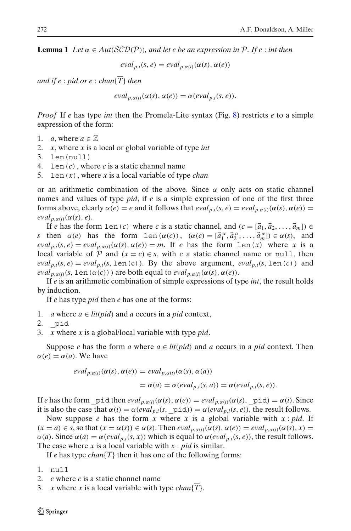**Lemma 1** *Let*  $\alpha \in Aut(SCD(P))$ *, and let e be an expression in* P. If e : *int then* 

$$
eval_{p,i}(s,e) = eval_{p,\alpha(i)}(\alpha(s), \alpha(e))
$$

*and if e* : *pid or e* : *chan*{ $\overline{T}$ } *then* 

$$
eval_{p,\alpha(i)}(\alpha(s),\alpha(e)) = \alpha(eval_{p,i}(s,e)).
$$

*Proof* If *e* has type *int* then the Promela-Lite syntax (Fig. [8\)](#page-13-0) restricts *e* to a simple expression of the form:

- 1. *a*, where  $a \in \mathbb{Z}$
- 2. *x*, where *x* is a local or global variable of type *int*
- 3. len(null)
- 4. len(*c*), where *c* is a static channel name
- 5. len(*x*), where *x* is a local variable of type *chan*

or an arithmetic combination of the above. Since  $\alpha$  only acts on static channel names and values of type *pid*, if *e* is a simple expression of one of the first three forms above, clearly  $\alpha(e) = e$  and it follows that  $eval_{p,i}(s,e) = eval_{p,q(i)}(\alpha(s), \alpha(e)) =$  $eval_{p,\alpha(i)}(\alpha(s),e).$ 

If *e* has the form len(*c*) where *c* is a static channel, and  $(c = [\vec{a}_1, \vec{a}_2, \dots, \vec{a}_m]) \in$ *s* then  $\alpha(e)$  has the form len( $\alpha(c)$ ),  $(\alpha(c) = [\vec{a}_1^\alpha, \vec{a}_2^\alpha, \dots, \vec{a}_m^\alpha] \in \alpha(s)$ , and  $eval_{p,i}(s,e) = eval_{p,\alpha(i)}(\alpha(s),\alpha(e)) = m$ . If *e* has the form len(*x*) where *x* is a local variable of P and  $(x = c) \in s$ , with c a static channel name or null, then  $eval_{p,i}(s, e) = eval_{p,i}(s, \text{len}(c))$ . By the above argument,  $eval_{p,i}(s, \text{len}(c))$  and *eval*<sub>p, $\alpha(i)$ </sub>(*s*, len( $\alpha(c)$ )) are both equal to *eval*<sub>p, $\alpha(i)$ ( $\alpha(s)$ , $\alpha(e)$ ).</sub>

If *e* is an arithmetic combination of simple expressions of type *int*, the result holds by induction.

If *e* has type *pid* then *e* has one of the forms:

- 1. *a* where  $a \in lit(pid)$  and *a* occurs in a *pid* context,
- 2. \_pid
- 3. *x* where *x* is a global/local variable with type *pid*.

Suppose *e* has the form *a* where  $a \in litpid)$  and *a* occurs in a *pid* context. Then  $\alpha(e) = \alpha(a)$ . We have

$$
eval_{p,\alpha(i)}(\alpha(s),\alpha(e)) = eval_{p,\alpha(i)}(\alpha(s),\alpha(a))
$$
  
=  $\alpha(a) = \alpha(eval_{p,i}(s,a)) = \alpha(eval_{p,i}(s,e)).$ 

If *e* has the form  $\_pid$  then  $eval_{p,\alpha(i)}(\alpha(s),\alpha(e)) = eval_{p,\alpha(i)}(\alpha(s),\_pid) = \alpha(i)$ . Since

it is also the case that  $\alpha(i) = \alpha(eval_{n,i}(s, \text{pid})) = \alpha(eval_{n,i}(s, e))$ , the result follows. Now suppose *e* has the form *x* where *x* is a global variable with *x* : *pid*. If  $(x = a) \in s$ , so that  $(x = \alpha(s)) \in \alpha(s)$ . Then  $eval_{p,\alpha(i)}(\alpha(s), \alpha(e)) = eval_{p,\alpha(i)}(\alpha(s), x) =$  $\alpha(a)$ . Since  $\alpha(a) = \alpha(e \nu a l_{p,i}(s, x))$  which is equal to  $\alpha(e \nu a l_{p,i}(s, e))$ , the result follows. The case where *x* is a local variable with *x* : *pid* is similar.

If *e* has type *chan*{*T*} then it has one of the following forms:

- 1. null
- 2. *c* where *c* is a static channel name
- $\bar{x}$  where  $\bar{x}$  is a local variable with type *chan* $\{T\}$ .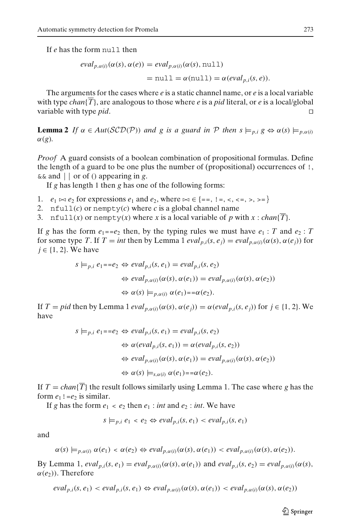If *e* has the form null then

$$
eval_{p,\alpha(i)}(\alpha(s),\alpha(e)) = eval_{p,\alpha(i)}(\alpha(s), \text{null})
$$
  
= null =  $\alpha(\text{null}) = \alpha(eval_{p,i}(s,e)).$ 

The arguments for the cases where *e* is a static channel name, or *e* is a local variable with type *chan*{ $\overline{T}$ }, are analogous to those where *e* is a *pid* literal, or *e* is a local/global variable with type *pid*.

**Lemma 2** *If*  $\alpha \in Aut(\mathcal{SCD}(P))$  *and g is a guard in*  $P$  *then*  $s \models_{p,i} g \Leftrightarrow \alpha(s) \models_{p,\alpha(i)} g$  $\alpha(g)$ .

*Proof* A guard consists of a boolean combination of propositional formulas. Define the length of a guard to be one plus the number of (propositional) occurrences of !, && and || or of () appearing in *g*.

If *g* has length 1 then *g* has one of the following forms:

- 1.  $e_1 \bowtie e_2$  for expressions  $e_1$  and  $e_2$ , where  $\bowtie \in \{ ==, \, \vdots =, \, \lt, , \, \lt =, \, \gt, , \, \gt = \}$
- 2.  $nfull(c)$  or nempty(*c*) where *c* is a global channel name
- 3. nfull(*x*) or nempty(*x*) where *x* is a local variable of *p* with  $x : chan(\overline{T})$ .

If *g* has the form  $e_1 = -e_2$  then, by the typing rules we must have  $e_1 : T$  and  $e_2 : T$ for some type *T*. If  $T = int$  then by Lemma 1 *eval*<sub>p,i</sub>( $s$ ,  $e_i$ ) = *eval*<sub>p, $\alpha(i)$ ( $\alpha(s)$ ,  $\alpha(e_i)$ ) for</sub>  $j \in \{1, 2\}$ . We have

$$
s \models_{p,i} e_1 = = e_2 \Leftrightarrow eval_{p,i}(s, e_1) = eval_{p,i}(s, e_2)
$$
  

$$
\Leftrightarrow eval_{p,\alpha(i)}(\alpha(s), \alpha(e_1)) = eval_{p,\alpha(i)}(\alpha(s), \alpha(e_2))
$$
  

$$
\Leftrightarrow \alpha(s) \models_{p,\alpha(i)} \alpha(e_1) = = \alpha(e_2).
$$

If  $T = pid$  then by Lemma 1  $eval_{p,\alpha(i)}(\alpha(s), \alpha(e_i)) = \alpha(eval_{p,i}(s, e_i))$  for  $j \in \{1, 2\}$ . We have

$$
s \models_{p,i} e_1 = e_2 \Leftrightarrow eval_{p,i}(s, e_1) = eval_{p,i}(s, e_2)
$$
  
\n
$$
\Leftrightarrow \alpha(eval_{p,i}(s, e_1)) = \alpha(eval_{p,i}(s, e_2))
$$
  
\n
$$
\Leftrightarrow eval_{p,\alpha(i)}(\alpha(s), \alpha(e_1)) = eval_{p,\alpha(i)}(\alpha(s), \alpha(e_2))
$$
  
\n
$$
\Leftrightarrow \alpha(s) \models_{s,\alpha(i)} \alpha(e_1) = = \alpha(e_2).
$$

If  $T = \text{chan}(\overline{T})$  the result follows similarly using Lemma 1. The case where *g* has the form  $e_1$ ! =  $e_2$  is similar.

If *g* has the form  $e_1 < e_2$  then  $e_1$  : *int* and  $e_2$  : *int*. We have

$$
s \models_{p,i} e_1 < e_2 \Leftrightarrow \text{eval}_{p,i}(s, e_1) < \text{eval}_{p,i}(s, e_1)
$$

and

$$
\alpha(s) \models_{p,\alpha(i)} \alpha(e_1) < \alpha(e_2) \Leftrightarrow \text{eval}_{p,\alpha(i)}(\alpha(s),\alpha(e_1)) < \text{eval}_{p,\alpha(i)}(\alpha(s),\alpha(e_2)).
$$

By Lemma 1,  $eval_{p,i}(s, e_1) = eval_{p,\alpha(i)}(\alpha(s), \alpha(e_1))$  and  $eval_{p,i}(s, e_2) = eval_{p,\alpha(i)}(\alpha(s),$  $\alpha(e_2)$ ). Therefore

$$
eval_{p,i}(s, e_1) < eval_{p,i}(s, e_1) \Leftrightarrow eval_{p,\alpha(i)}(\alpha(s), \alpha(e_1)) < eval_{p,\alpha(i)}(\alpha(s), \alpha(e_2))
$$

 $\textcircled{2}$  Springer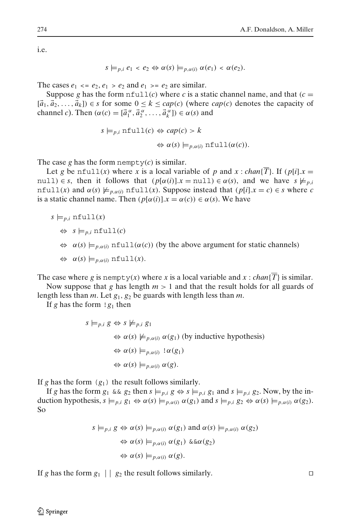i.e.

$$
s \models_{p,i} e_1 < e_2 \Leftrightarrow \alpha(s) \models_{p,\alpha(i)} \alpha(e_1) < \alpha(e_2).
$$

The cases  $e_1 \leq e_2, e_1 \geq e_2$  and  $e_1 \geq e_2$  are similar.

Suppose *g* has the form  $nfull(c)$  where *c* is a static channel name, and that  $(c =$  $[\vec{a}_1, \vec{a}_2, \ldots, \vec{a}_k]$ )  $\in$  *s* for some  $0 \le k \le cap(c)$  (where *cap*(*c*) denotes the capacity of channel *c*). Then  $(\alpha(c) = [\vec{a}_1^{\alpha}, \vec{a}_2^{\alpha}, \dots, \vec{a}_k^{\alpha}] \in \alpha(s)$  and

$$
s \models_{p,i} \text{ntull}(c) \Leftrightarrow cap(c) > k
$$
  

$$
\Leftrightarrow \alpha(s) \models_{p,\alpha(i)} \text{ntull}(\alpha(c)).
$$

The case *g* has the form nempty $(c)$  is similar.

Let *g* be nfull(*x*) where *x* is a local variable of *p* and *x* : *chan*{*T*}. If (*p*[*i*].*x* = null)  $\in$  *s*, then it follows that  $(p[\alpha(i)].x = \text{null}) \in \alpha(s)$ , and we have  $s \not\models p_{i,i}$ nfull(*x*) and  $\alpha(s) \not\models p_{\alpha(i)}$  nfull(*x*). Suppose instead that ( $p[i].x = c$ )  $\in$  *s* where *c* is a static channel name. Then  $(p[\alpha(i)].x = \alpha(c)) \in \alpha(s)$ . We have

$$
s \models_{p,i} \texttt{nfull}(x)
$$

- $\Leftrightarrow$  *s*  $\models$ <sub>*p,i*</sub> nfull(*c*)
- $\Leftrightarrow \alpha(s) \models_{p,\alpha(i)} \text{nfull}(\alpha(c))$  (by the above argument for static channels)
- $\Leftrightarrow \alpha(s) \models_{p,\alpha(i)} \text{nfull}(x).$

The case where *g* is nempty(*x*) where *x* is a local variable and *x* : *chan*{*T*} is similar. Now suppose that *g* has length  $m > 1$  and that the result holds for all guards of

length less than *m*. Let *g*1, *g*<sup>2</sup> be guards with length less than *m*.

If *g* has the form  $\lg_1$  then

$$
s \models_{p,i} g \Leftrightarrow s \not\models_{p,i} g_1
$$
  
\n
$$
\Leftrightarrow \alpha(s) \not\models_{p,\alpha(i)} \alpha(g_1) \text{ (by inductive hypothesis)}
$$
  
\n
$$
\Leftrightarrow \alpha(s) \models_{p,\alpha(i)} 1 \alpha(g_1)
$$
  
\n
$$
\Leftrightarrow \alpha(s) \models_{p,\alpha(i)} \alpha(g).
$$

If *g* has the form  $(g_1)$  the result follows similarly.

If *g* has the form  $g_1 \&g g_2$  then  $s \models p, i \ g \Leftrightarrow s \models p, i \ g_1$  and  $s \models p, i \ g_2$ . Now, by the induction hypothesis,  $s \models p, i \ g_1 \Leftrightarrow \alpha(s) \models p, \alpha(i) \alpha(g_1)$  and  $s \models p, i \ g_2 \Leftrightarrow \alpha(s) \models p, \alpha(i) \alpha(g_2)$ . So

$$
s \models_{p,i} g \Leftrightarrow \alpha(s) \models_{p,\alpha(i)} \alpha(g_1) \text{ and } \alpha(s) \models_{p,\alpha(i)} \alpha(g_2)
$$
  

$$
\Leftrightarrow \alpha(s) \models_{p,\alpha(i)} \alpha(g_1) \&\&\alpha(g_2)
$$
  

$$
\Leftrightarrow \alpha(s) \models_{p,\alpha(i)} \alpha(g).
$$

If *g* has the form  $g_1 \mid g_2$  the result follows similarly.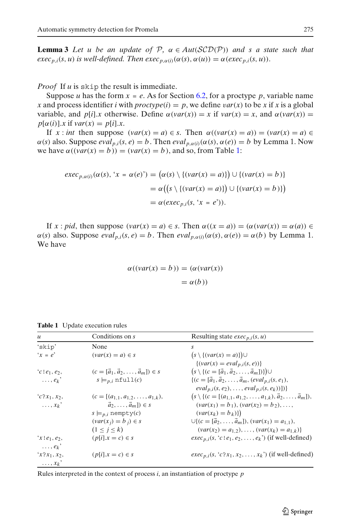<span id="page-24-0"></span>**Lemma 3** Let u be an update of P,  $\alpha \in Aut(\mathcal{SCD}(\mathcal{P}))$  and s a state such that *exec<sub>p,i</sub>*(*s*, *u*) *is well-defined. Then exec<sub>p,α(<i>i*)</sub>( $\alpha$ (*s*), $\alpha$ (*u*)) =  $\alpha$ (*exec<sub>p,i</sub>*(*s*, *u*)).

*Proof* If *u* is skip the result is immediate.

Suppose *u* has the form  $x = e$ . As for Section [6.2,](#page-14-0) for a proctype *p*, variable name *x* and process identifier *i* with  $proctype(i) = p$ , we define  $var(x)$  to be *x* if *x* is a global variable, and  $p[i].x$  otherwise. Define  $\alpha(var(x)) = x$  if  $var(x) = x$ , and  $\alpha(var(x)) = x$  $p[\alpha(i)]$ *x* if  $var(x) = p[i]$ *x*.

If  $x : int$  then suppose  $(var(x) = a) \in s$ . Then  $\alpha((var(x) = a)) = (var(x) = a) \in s$  $\alpha(s)$  also. Suppose  $eval_{p,i}(s, e) = b$ . Then  $eval_{p,\alpha(i)}(\alpha(s), \alpha(e)) = b$  by Lemma 1. Now we have  $\alpha((\text{var}(x) = b)) = (\text{var}(x) = b)$ , and so, from Table 1:

$$
\begin{aligned} \nexec_{p,\alpha(i)}(\alpha(s), \, 'x = \alpha(e)') &= \left(\alpha(s) \setminus \{(\text{var}(x) = a)\}\right) \cup \{(\text{var}(x) = b)\} \\ \n&= \alpha\big(\big(s \setminus \{(\text{var}(x) = a)\}\big) \cup \{(\text{var}(x) = b)\}\big) \\ \n&= \alpha(\text{exec}_{p,i}(s, \, 'x = e')). \n\end{aligned}
$$

If  $x : pid$ , then suppose  $(var(x) = a) \in s$ . Then  $\alpha((x = a)) = (\alpha(var(x)) = \alpha(a)) \in$  $\alpha(s)$  also. Suppose  $eval_{p,i}(s, e) = b$ . Then  $eval_{p,\alpha(i)}(\alpha(s), \alpha(e)) = \alpha(b)$  by Lemma 1. We have

$$
\alpha((var(x) = b)) = (\alpha(var(x)))
$$
  
=  $\alpha(b)$ )

| $\mathcal{U}$                                         | Conditions on s                                                                                                                                                            | Resulting state $exec_{p,i}(s, u)$                                                                                                                                                                                                                                                                                                  |
|-------------------------------------------------------|----------------------------------------------------------------------------------------------------------------------------------------------------------------------------|-------------------------------------------------------------------------------------------------------------------------------------------------------------------------------------------------------------------------------------------------------------------------------------------------------------------------------------|
| 'skip'                                                | None                                                                                                                                                                       | S                                                                                                                                                                                                                                                                                                                                   |
| $x = e^x$                                             | $\left(\text{var}(x) = a\right) \in s$                                                                                                                                     | $(s \setminus \{(var(x) = a)\}) \cup$<br>$\{(var(x) = eval_{p,i}(s, e))\}$                                                                                                                                                                                                                                                          |
| $c!e_1, e_2,$                                         | $(c = [\vec{a}_1, \vec{a}_2, \dots, \vec{a}_m]) \in S$                                                                                                                     | $(s \setminus \{(c = [\vec{a}_1, \vec{a}_2, \dots, \vec{a}_m])\}) \cup$                                                                                                                                                                                                                                                             |
| $\ldots$ e <sub>k</sub> '                             | $s \models p_{i}$ nfull(c)                                                                                                                                                 | $\{(c = [\vec{a}_1, \vec{a}_2, \dots, \vec{a}_m, (eval_{p,i}(s, e_1)),$<br>$eval_{p,i}(s, e_2), \ldots, eval_{p,i}(s, e_k))])$                                                                                                                                                                                                      |
| $c_{2x_1, x_2, y_1}$<br>$\ldots$ , $x_k$ <sup>'</sup> | $(c = [(a_{1,1}, a_{1,2}, \ldots, a_{1,k}),$<br>$\vec{a}_2, \ldots, \vec{a}_m$ ) $\in$ S<br>$s \models p_{i}$ nempty(c)<br>$(var(x_i) = b_i) \in s$<br>$(1 \leq j \leq k)$ | $(s \setminus \{(c = [(a_{1,1}, a_{1,2}, \ldots, a_{1,k}), \vec{a}_2, \ldots, \vec{a}_m]),$<br>$(var(x_1) = b_1), (var(x_2) = b_2), \ldots,$<br>$\left(\text{var}(x_k) = b_k)\right)$<br>$\bigcup \{ (c = [\vec{a}_2, \ldots, \vec{a}_m]), (var(x_1) = a_{1,1}),$<br>$\{var(x_2) = a_{1,2}), \ldots, \langle var(x_k) = a_{1,k}\}\$ |
| $x!e_1, e_2,$<br>$\ldots$ , $e_k$ <sup>'</sup>        | $(p[i].x = c) \in s$                                                                                                                                                       | $exec_{p,i}(s, 'c!e_1, e_2, \ldots, e_k')$ (if well-defined)                                                                                                                                                                                                                                                                        |
| $x_2x_1, x_2,$<br>$\ldots$ $x_k$ <sup>'</sup>         | $(p[i].x = c) \in s$                                                                                                                                                       | $exec_{p,i}(s, 'c?x_1, x_2, \ldots, x_k')$ (if well-defined)                                                                                                                                                                                                                                                                        |

**Table 1** Update execution rules

Rules interpreted in the context of process *i*, an instantiation of proctype *p*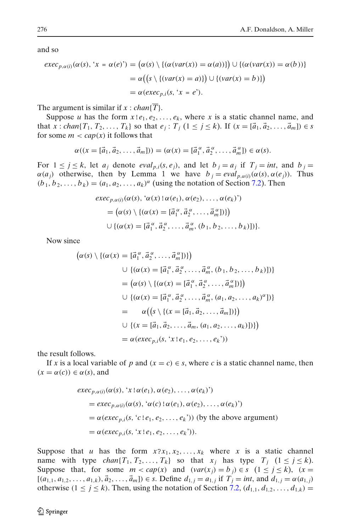and so

$$
\begin{aligned} \nexec_{p,\alpha(i)}(\alpha(s), \, 'x = \alpha(e)') &= \left(\alpha(s) \setminus \left\{ (\alpha(var(x)) = \alpha(a)) \right\} \right) \cup \left\{ (\alpha(var(x)) = \alpha(b)) \right\} \\ \n&= \alpha \left( \left\{ s \setminus \left\{ (var(x) = a) \right\} \right\} \cup \left\{ (var(x) = b) \right\} \right) \\ \n&= \alpha \left( exec_{p,i}(s, \, 'x = e'). \n\end{aligned}
$$

The argument is similar if  $x : chan(\overline{T})$ .

Suppose *u* has the form  $x!e_1, e_2, \ldots, e_k$ , where *x* is a static channel name, and that *x* : *chan*{*T*<sub>1</sub>, *T*<sub>2</sub>,..., *T*<sub>k</sub>} so that  $e_j$  : *T*<sub>i</sub> (1 ≤ *j* ≤ *k*). If (*x* = [ $\vec{a}_1, \vec{a}_2, ..., \vec{a}_m$ ]) ∈ *s* for some  $m < cap(x)$  it follows that

$$
\alpha((x=[\vec{a}_1,\vec{a}_2,\ldots,\vec{a}_m]))=(\alpha(x)=[\vec{a}_1^{\alpha},\vec{a}_2^{\alpha},\ldots,\vec{a}_m^{\alpha}])\in\alpha(s).
$$

For  $1 \leq j \leq k$ , let  $a_j$  denote  $eval_{p,i}(s, e_j)$ , and let  $b_j = a_j$  if  $T_j = int$ , and  $b_j = i$  $\alpha(a_j)$  otherwise, then by Lemma 1 we have  $b_j = eval_{p,\alpha(i)}(\alpha(s), \alpha(e_j))$ . Thus  $(b_1, b_2, \ldots, b_k) = (a_1, a_2, \ldots, a_k)^\alpha$  (using the notation of Section [7.2\)](#page-18-0). Then

$$
\begin{aligned}\n\text{exec}_{p,\alpha(i)}(\alpha(s), \, ^{\iota}\alpha(x) \, ! \, \alpha(e_1), \, \alpha(e_2), \, \dots, \, \alpha(e_k)') \\
&= \left(\alpha(s) \setminus \{(\alpha(x) = [\vec{a}_1^{\alpha}, \vec{a}_2^{\alpha}, \dots, \vec{a}_m^{\alpha}])\}\right) \\
\cup \{(\alpha(x) = [\vec{a}_1^{\alpha}, \vec{a}_2^{\alpha}, \dots, \vec{a}_m^{\alpha}, (b_1, b_2, \dots, b_k)])\}.\n\end{aligned}
$$

Now since

$$
(\alpha(s) \setminus \{(\alpha(x) = [\vec{a}_1^{\alpha}, \vec{a}_2^{\alpha}, \dots, \vec{a}_m^{\alpha}])\})
$$
  
\n
$$
\cup \{(\alpha(x) = [\vec{a}_1^{\alpha}, \vec{a}_2^{\alpha}, \dots, \vec{a}_m^{\alpha}, (b_1, b_2, \dots, b_k)])\}
$$
  
\n
$$
= (\alpha(s) \setminus \{(\alpha(x) = [\vec{a}_1^{\alpha}, \vec{a}_2^{\alpha}, \dots, \vec{a}_m^{\alpha}])\})
$$
  
\n
$$
\cup \{(\alpha(x) = [\vec{a}_1^{\alpha}, \vec{a}_2^{\alpha}, \dots, \vec{a}_m^{\alpha}, (a_1, a_2, \dots, a_k)^{\alpha}])\}
$$
  
\n
$$
= \alpha((s \setminus \{(x = [\vec{a}_1, \vec{a}_2, \dots, \vec{a}_m, (a_1, a_2, \dots, a_k)])\})
$$
  
\n
$$
\cup \{(x = [\vec{a}_1, \vec{a}_2, \dots, \vec{a}_m, (a_1, a_2, \dots, a_k)])\})
$$
  
\n
$$
= \alpha(exec_{p,i}(s, 'x!e_1, e_2, \dots, e_k'))
$$

the result follows.

If *x* is a local variable of *p* and  $(x = c) \in s$ , where *c* is a static channel name, then  $(x = \alpha(c)) \in \alpha(s)$ , and

$$
\begin{aligned}\n\text{exec}_{p,\alpha(i)}(\alpha(s), \, ^t x \, ! \, \alpha(e_1), \, \alpha(e_2), \, \dots, \, \alpha(e_k)) \\
&= \text{exec}_{p,\alpha(i)}(\alpha(s), \, ^t \alpha(c) \, ! \, \alpha(e_1), \, \alpha(e_2), \, \dots, \, \alpha(e_k)) \\
&= \alpha(\text{exec}_{p,i}(s, \, ^t c \, ! \, e_1, \, e_2, \, \dots, \, e_k))) \text{ (by the above argument)} \\
&= \alpha(\text{exec}_{p,i}(s, \, ^t x \, ! \, e_1, \, e_2, \, \dots, \, e_k))).\n\end{aligned}
$$

Suppose that *u* has the form  $x \cdot 2x_1, x_2, \ldots, x_k$  where *x* is a static channel name with type  $chan\{T_1, T_2, \ldots, T_k\}$  so that  $x_j$  has type  $T_j$   $(1 \leq j \leq k)$ . Suppose that, for some  $m < cap(x)$  and  $(var(x_i) = b_i) \in s \ (1 \leq j \leq k)$ ,  $(x =$  $[(a_{1,1}, a_{1,2},..., a_{1,k}), \vec{a}_2,..., \vec{a}_m] \in S$ . Define  $d_{1,j} = a_{1,j}$  if  $T_j = int$ , and  $d_{1,j} = \alpha(a_{1,j})$ otherwise  $(1 \le j \le k)$ . Then, using the notation of Section [7.2,](#page-18-0)  $(d_{1,1}, d_{1,2}, \ldots, d_{1,k}) =$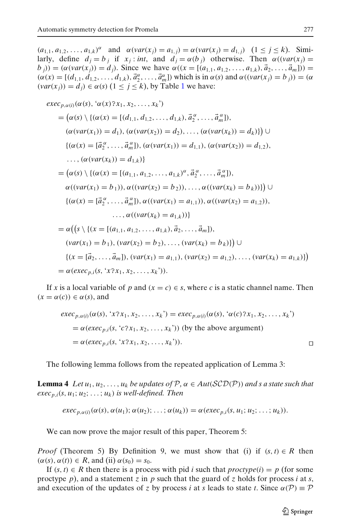$(a_{1,1}, a_{1,2}, \ldots, a_{1,k})^{\alpha}$  and  $\alpha(var(x_i) = a_{1,i}) = \alpha(var(x_i) = d_{1,i})$   $(1 \leq j \leq k)$ . Similarly, define  $d_i = b_i$  if  $x_i$ : *int*, and  $d_i = \alpha(b_i)$  otherwise. Then  $\alpha((var(x_i)) =$  $b_j$  *j*) = ( $\alpha$ (*var*( $x_j$ )) =  $d_j$ ). Since we have  $\alpha$ (( $x$  = [( $a_{1,1}, a_{1,2},..., a_{1,k}$ ),  $\vec{a}_2,..., \vec{a}_m$ ])) =  $(\alpha(x) = [(d_{1,1}, d_{1,2}, \dots, d_{1,k}), \vec{a}_2^{\alpha}, \dots, \vec{a}_m^{\alpha}]$ ) which is in  $\alpha(s)$  and  $\alpha((\nu a r(x_j) = b_j)) = (\alpha$  $(var(x_i)) = d_i$ )  $\in \alpha(s)$  ( $1 \leq j \leq k$  $1 \leq j \leq k$ ), by Table 1 we have:

$$
\begin{split}\n\text{exec}_{p,\alpha(i)}(\alpha(s), \, ^{\alpha}(x) \, ^{2}x_{1}, \, x_{2}, \dots, x_{k}) \\
&= (\alpha(s) \setminus \{ (\alpha(x) = [(d_{1,1}, d_{1,2}, \dots, d_{1,k}), \, \vec{a}_{2}^{\alpha}, \dots, \vec{a}_{m}^{ \alpha}]), \\
(\alpha(\text{var}(x_{1})) = d_{1}), \, (\alpha(\text{var}(x_{2})) = d_{2}), \dots, (\alpha(\text{var}(x_{k})) = d_{k}) \} \} \cup \\
& \{ (\alpha(x) = [\vec{a}_{2}^{\alpha}, \dots, \vec{a}_{m}^{ \alpha}]), \, (\alpha(\text{var}(x_{1})) = d_{1,1}), \, (\alpha(\text{var}(x_{2})) = d_{1,2}), \\
&\dots, (\alpha(\text{var}(x_{k})) = d_{1,k}) \} \\
&= (\alpha(s) \setminus \{ (\alpha(x) = [(a_{1,1}, a_{1,2}, \dots, a_{1,k})^{\alpha}, \vec{a}_{2}^{\alpha}, \dots, \vec{a}_{m}^{ \alpha}]), \\
\alpha((\text{var}(x_{1}) = b_{1})), \, \alpha((\text{var}(x_{2}) = b_{2})), \dots, \alpha((\text{var}(x_{k}) = b_{k})) \} \} \cup \\
&\{ (\alpha(x) = [\vec{a}_{2}^{\alpha}, \dots, \vec{a}_{m}^{\alpha}]), \, \alpha((\text{var}(x_{1}) = a_{1,1})), \, \alpha((\text{var}(x_{2}) = a_{1,2})), \\
&\dots, \alpha((\text{var}(x_{k}) = a_{1,k})) \} \\
&= \alpha((s \setminus \{ (x = [(a_{1,1}, a_{1,2}, \dots, a_{1,k}), \vec{a}_{2}, \dots, \vec{a}_{m}]), \\
(\text{var}(x_{1}) = b_{1}), (\text{var}(x_{2}) = b_{2}), \dots, (\text{var}(x_{k}) = b_{k}) \} \cup \\
&\{ (x = [\vec{a}_{2}, \dots, \vec{a}_{m}]), (\text{var}(x_{1}) = a_{1,1}), (\text{var}(x_{2}) = a_{1,2}), \dots, (\text{var}(x_{k}) = a_{1,k}) \} \big) \\
&= \alpha(\text{exec}_{p,i}(s, \, ^{x}x_{1}, x_{2}, \dots, x_{k})).\n\end{split}
$$

If *x* is a local variable of *p* and  $(x = c) \in s$ , where *c* is a static channel name. Then  $(x = \alpha(c)) \in \alpha(s)$ , and

$$
exec_{p,\alpha(i)}(\alpha(s), 'x?x_1, x_2, ..., x_k') = exec_{p,\alpha(i)}(\alpha(s), ' \alpha(c)?x_1, x_2, ..., x_k')
$$
  
=  $\alpha(exec_{p,i}(s, 'c?x_1, x_2, ..., x_k'))$  (by the above argument)  
=  $\alpha(exec_{p,i}(s, 'x?x_1, x_2, ..., x_k')).$ 

The following lemma follows from the repeated application of Lemma 3:

**Lemma 4** *Let*  $u_1, u_2, \ldots, u_k$  *be updates of*  $P$ *,*  $\alpha \in Aut(SCD(P))$  *and s a state such that*  $exec_{p,i}(s, u_1; u_2; \ldots; u_k)$  *is well-defined. Then* 

$$
exec_{p,\alpha(i)}(\alpha(s), \alpha(u_1); \alpha(u_2); \ldots; \alpha(u_k)) = \alpha(exec_{p,i}(s, u_1; u_2; \ldots; u_k)).
$$

We can now prove the major result of this paper, Theorem 5:

*Proof* (Theorem 5) By Definition 9, we must show that (i) if  $(s, t) \in R$  then  $(\alpha(s), \alpha(t)) \in R$ , and (ii)  $\alpha(s_0) = s_0$ .

If  $(s, t) \in R$  then there is a process with pid *i* such that *proctype*(*i*) = *p* (for some proctype *p*), and a statement *z* in *p* such that the guard of *z* holds for process *i* at *s*, and execution of the updates of *z* by process *i* at *s* leads to state *t*. Since  $\alpha(\mathcal{P}) \equiv \mathcal{P}$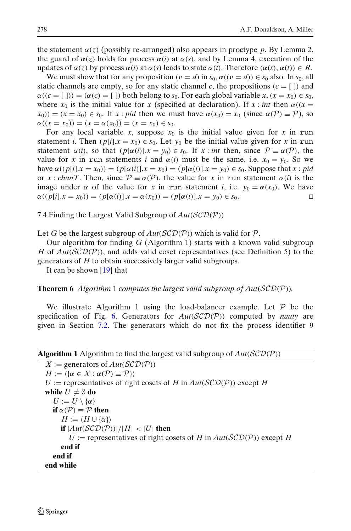<span id="page-27-0"></span>the statement  $\alpha(z)$  (possibly re-arranged) also appears in proctype p. By Lemma 2, the guard of  $\alpha(z)$  holds for process  $\alpha(i)$  at  $\alpha(s)$ , and by Lemma 4, execution of the updates of  $\alpha(z)$  by process  $\alpha(i)$  at  $\alpha(s)$  leads to state  $\alpha(t)$ . Therefore  $(\alpha(s), \alpha(t)) \in R$ .

We must show that for any proposition  $(v = d)$  in  $s_0$ ,  $\alpha((v = d)) \in s_0$  also. In  $s_0$ , all static channels are empty, so for any static channel *c*, the propositions  $(c = [ )$  and  $\alpha((c = [1])) = (\alpha(c) = [1])$  both belong to  $s_0$ . For each global variable  $x, (x = x_0) \in s_0$ , where  $x_0$  is the initial value for x (specified at declaration). If  $x : int$  then  $\alpha((x =$  $(x_0)(x_0) = (x = x_0) \in s_0$ . If  $x : pid$  then we must have  $\alpha(x_0) = x_0$  (since  $\alpha(\mathcal{P}) \equiv \mathcal{P}$ ), so  $\alpha((x = x_0)) = (x = \alpha(x_0)) = (x = x_0) \in s_0.$ 

For any local variable *x*, suppose  $x_0$  is the initial value given for *x* in run statement *i*. Then  $(p[i], x = x_0) \in s_0$ . Let  $y_0$  be the initial value given for *x* in run statement  $\alpha(i)$ , so that  $(p[\alpha(i)]x = y_0) \in s_0$ . If  $x : int$  then, since  $P \equiv \alpha(P)$ , the value for *x* in run statements *i* and  $\alpha(i)$  must be the same, i.e.  $x_0 = y_0$ . So we have  $\alpha((p[i].x = x_0)) = (p[\alpha(i)].x = x_0) = (p[\alpha(i)].x = y_0) \in s_0$ . Suppose that *x* : *pid* or *x* : *chan* $\overline{T}$ . Then, since  $P \equiv \alpha(P)$ , the value for *x* in run statement  $\alpha(i)$  is the image under  $\alpha$  of the value for *x* in run statement *i*, i.e.  $y_0 = \alpha(x_0)$ . We have  $\alpha((p[i].x = x_0)) = (p[\alpha(i)].x = \alpha(x_0)) = (p[\alpha(i)].x = y_0) \in s_0.$ 

7.4 Finding the Largest Valid Subgroup of *Aut*(SCD(P))

Let *G* be the largest subgroup of  $Aut(\mathcal{SCD}(P))$  which is valid for  $P$ .

Our algorithm for finding *G* (Algorithm 1) starts with a known valid subgroup *H* of *Aut*(*SCD(P*)), and adds valid coset representatives (see Definition 5) to the generators of *H* to obtain successively larger valid subgroups.

It can be shown [\[19\]](#page-41-0) that

**Theorem 6** *Algorithm* 1 *computes the largest valid subgroup of*  $Aut(\mathcal{SCD}(P))$ *.* 

We illustrate Algorithm 1 using the load-balancer example. Let  $P$  be the specification of Fig. [6.](#page-11-0) Generators for  $Aut(SCD(\mathcal{P}))$  computed by *nauty* are given in Section [7.2.](#page-18-0) The generators which do not fix the process identifier 9

## **Algorithm 1** Algorithm to find the largest valid subgroup of  $Aut(\mathcal{SCD}(P))$

```
X := generators of Aut(\mathcal{SCD}(P))H := \langle \{ \alpha \in X : \alpha(\mathcal{P}) \equiv \mathcal{P} \} \rangleU := representatives of right cosets of H in Aut(\mathcal{SCD}(P)) except H
while U \neq \emptyset do
   U := U \setminus \{\alpha\}if \alpha(\mathcal{P}) \equiv \mathcal{P} then
       H := \langle H \cup \{\alpha\}\rangleif |Aut(\mathcal{SCD}(P))|/|H| < |U| then
          U := representatives of right cosets of H in Aut(SCD(P)) except H
      end if
   end if
end while
```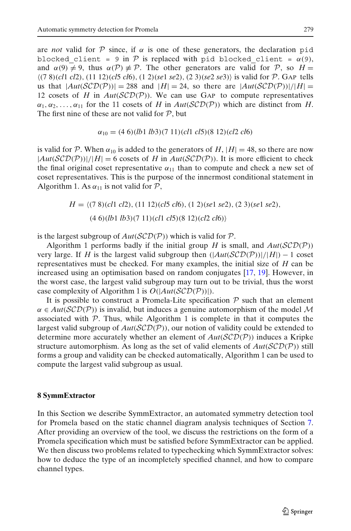<span id="page-28-0"></span>are *not* valid for  $\mathcal P$  since, if  $\alpha$  is one of these generators, the declaration pid blocked client = 9 in P is replaced with pid blocked client =  $\alpha(9)$ , and  $\alpha(9) \neq 9$ , thus  $\alpha(\mathcal{P}) \neq \mathcal{P}$ . The other generators are valid for  $\mathcal{P}$ , so  $H =$ (7 8)(*cl*1 *cl*2),(11 12)(*cl*5 *cl*6),(1 2)(*se*1 *se*2),(2 3)(*se*2 *se*3) is valid for P. GAP tells us that  $|Aut(SCD(P))| = 288$  and  $|H| = 24$ , so there are  $|Aut(SCD(P))|/|H| =$ 12 cosets of *H* in  $Aut(SCD(\mathcal{P}))$ . We can use GAP to compute representatives  $\alpha_1, \alpha_2, \ldots, \alpha_{11}$  for the 11 cosets of *H* in *Aut*(*SCD(P)*) which are distinct from *H*. The first nine of these are not valid for  $P$ , but

$$
\alpha_{10} = (4\ 6)(lb1\ lb3)(7\ 11)(cl1\ cl5)(8\ 12)(cl2\ cl6)
$$

is valid for P. When  $\alpha_{10}$  is added to the generators of H,  $|H| = 48$ , so there are now  $|Aut(SCD(P))|/|H| = 6$  cosets of *H* in  $Aut(SCD(P))$ . It is more efficient to check the final original coset representative  $\alpha_{11}$  than to compute and check a new set of coset representatives. This is the purpose of the innermost conditional statement in Algorithm 1. As  $\alpha_{11}$  is not valid for  $P$ ,

$$
H = \langle (7\ 8)(cl1\ cl2), (11\ 12)(cl5\ cl6), (1\ 2)(sel\ se2), (2\ 3)(sel\ se2),(4\ 6)(lb1\ lb3)(7\ 11)(cl1\ cl5)(8\ 12)(cl2\ cl6) \rangle
$$

is the largest subgroup of  $Aut(\mathcal{SCD}(P))$  which is valid for  $P$ .

Algorithm 1 performs badly if the initial group *H* is small, and  $Aut(SCD(\mathcal{P}))$ very large. If *H* is the largest valid subgroup then  $(|Aut(\mathcal{SCD}(P))|/|H|) - 1$  coset representatives must be checked. For many examples, the initial size of *H* can be increased using an optimisation based on random conjugates [\[17](#page-41-0), [19](#page-41-0)]. However, in the worst case, the largest valid subgroup may turn out to be trivial, thus the worst case complexity of Algorithm 1 is *O*(|*Aut*(SCD(P))|).

It is possible to construct a Promela-Lite specification  $P$  such that an element  $\alpha \in Aut(SCD(\mathcal{P}))$  is invalid, but induces a genuine automorphism of the model M associated with  $P$ . Thus, while Algorithm 1 is complete in that it computes the largest valid subgroup of  $Aut(SCD(\mathcal{P}))$ , our notion of validity could be extended to determine more accurately whether an element of *Aut*(SCD(P)) induces a Kripke structure automorphism. As long as the set of valid elements of  $Aut(SCD(\mathcal{P}))$  still forms a group and validity can be checked automatically, Algorithm 1 can be used to compute the largest valid subgroup as usual.

### **8 SymmExtractor**

In this Section we describe SymmExtractor, an automated symmetry detection tool for Promela based on the static channel diagram analysis techniques of Section [7.](#page-16-0) After providing an overview of the tool, we discuss the restrictions on the form of a Promela specification which must be satisfied before SymmExtractor can be applied. We then discuss two problems related to typechecking which SymmExtractor solves: how to deduce the type of an incompletely specified channel, and how to compare channel types.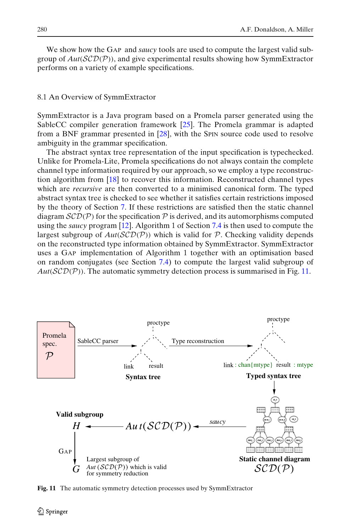We show how the GAP and *saucy* tools are used to compute the largest valid subgroup of *Aut*(SCD(P)), and give experimental results showing how SymmExtractor performs on a variety of example specifications.

## 8.1 An Overview of SymmExtractor

SymmExtractor is a Java program based on a Promela parser generated using the SableCC compiler generation framework [\[25](#page-42-0)]. The Promela grammar is adapted from a BNF grammar presented in [\[28](#page-42-0)], with the SPIN source code used to resolve ambiguity in the grammar specification.

The abstract syntax tree representation of the input specification is typechecked. Unlike for Promela-Lite, Promela specifications do not always contain the complete channel type information required by our approach, so we employ a type reconstruction algorithm from [\[18](#page-41-0)] to recover this information. Reconstructed channel types which are *recursive* are then converted to a minimised canonical form. The typed abstract syntax tree is checked to see whether it satisfies certain restrictions imposed by the theory of Section [7.](#page-16-0) If these restrictions are satisfied then the static channel diagram  $\mathcal{SCD}(\mathcal{P})$  for the specification  $\mathcal P$  is derived, and its automorphisms computed using the *saucy* program [\[12\]](#page-41-0). Algorithm 1 of Section [7.4](#page-27-0) is then used to compute the largest subgroup of  $Aut(SCD(\mathcal{P}))$  which is valid for  $\mathcal P$ . Checking validity depends on the reconstructed type information obtained by SymmExtractor. SymmExtractor uses a GAP implementation of Algorithm 1 together with an optimisation based on random conjugates (see Section [7.4\)](#page-27-0) to compute the largest valid subgroup of  $Aut(SCD(P))$ . The automatic symmetry detection process is summarised in Fig. 11.



**Fig. 11** The automatic symmetry detection processes used by SymmExtractor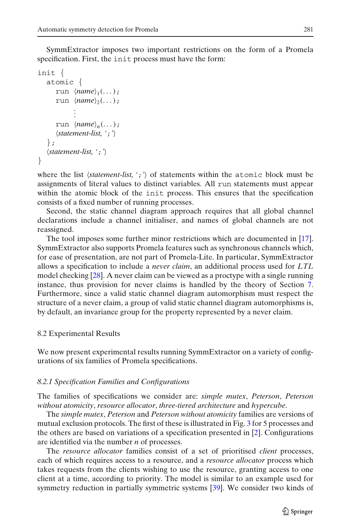SymmExtractor imposes two important restrictions on the form of a Promela specification. First, the init process must have the form:

```
init {
   atomic {
       run \langle name \rangle_1(\dots);run \langle name \rangle_2(\dots);.
               .
               .
       run \langle name \rangle_n(\dots);statement-list, ';'
   };
   statement-list, ';'
}
```
where the list *(statement-list, ';')* of statements within the atomic block must be assignments of literal values to distinct variables. All run statements must appear within the atomic block of the init process. This ensures that the specification consists of a fixed number of running processes.

Second, the static channel diagram approach requires that all global channel declarations include a channel initialiser, and names of global channels are not reassigned.

The tool imposes some further minor restrictions which are documented in [\[17](#page-41-0)]. SymmExtractor also supports Promela features such as synchronous channels which, for ease of presentation, are not part of Promela-Lite. In particular, SymmExtractor allows a specification to include a *never claim*, an additional process used for *LTL* model checking [\[28\]](#page-42-0). A never claim can be viewed as a proctype with a single running instance, thus provision for never claims is handled by the theory of Section [7.](#page-16-0) Furthermore, since a valid static channel diagram automorphism must respect the structure of a never claim, a group of valid static channel diagram automorphisms is, by default, an invariance group for the property represented by a never claim.

## 8.2 Experimental Results

We now present experimental results running SymmExtractor on a variety of configurations of six families of Promela specifications.

## *8.2.1 Specification Families and Configurations*

The families of specifications we consider are: *simple mutex*, *Peterson*, *Peterson without atomicity*, *resource allocator*, *three-tiered architecture* and *hypercube*.

The *simple mutex*, *Peterson* and *Peterson without atomicity* families are versions of mutual exclusion protocols. The first of these is illustrated in Fig. [3](#page-5-0) for 5 processes and the others are based on variations of a specification presented in [\[2](#page-41-0)]. Configurations are identified via the number *n* of processes.

The *resource allocator* families consist of a set of prioritised *client* processes, each of which requires access to a resource, and a *resource allocator* process which takes requests from the clients wishing to use the resource, granting access to one client at a time, according to priority. The model is similar to an example used for symmetry reduction in partially symmetric systems [\[39\]](#page-42-0). We consider two kinds of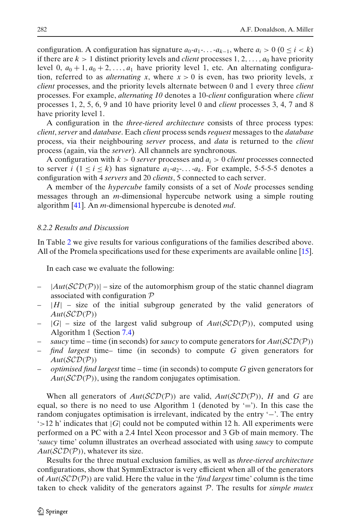<span id="page-31-0"></span>configuration. A configuration has signature  $a_0$ - $a_1$ -...- $a_{k-1}$ , where  $a_i > 0$  ( $0 \le i < k$ ) if there are  $k > 1$  distinct priority levels and *client* processes 1, 2, ...,  $a_0$  have priority level 0,  $a_0 + 1$ ,  $a_0 + 2$ , ...,  $a_1$  have priority level 1, etc. An alternating configuration, referred to as *alternating x*, where  $x > 0$  is even, has two priority levels, x *client* processes, and the priority levels alternate between 0 and 1 every three *client* processes. For example, *alternating 10* denotes a 10-*client* configuration where *client* processes 1, 2, 5, 6, 9 and 10 have priority level 0 and *client* processes 3, 4, 7 and 8 have priority level 1.

A configuration in the *three-tiered architecture* consists of three process types: *client*, *server* and *database*. Each *client* process sends *request* messages to the *database* process, via their neighbouring *server* process, and *data* is returned to the *client* process (again, via the *server*). All channels are synchronous.

A configuration with *k* > 0 *server* processes and *ai* > 0 *client* processes connected to server *i*  $(1 \le i \le k)$  has signature  $a_1-a_2$ ....- $a_k$ . For example, 5-5-5-5 denotes a configuration with 4 *servers* and 20 *clients*, 5 connected to each server.

A member of the *hypercube* family consists of a set of *Node* processes sending messages through an *m*-dimensional hypercube network using a simple routing algorithm [\[41\]](#page-42-0). An *m*-dimensional hypercube is denoted *md*.

## *8.2.2 Results and Discussion*

In Table [2](#page-32-0) we give results for various configurations of the families described above. All of the Promela specifications used for these experiments are available online [\[15](#page-41-0)].

In each case we evaluate the following:

- $|Aut(\mathcal{SCD}(P))|$  size of the automorphism group of the static channel diagram associated with configuration P
- $|H|$  size of the initial subgroup generated by the valid generators of  $Aut(\mathcal{SCD}(P))$
- $|G|$  size of the largest valid subgroup of  $Aut(\mathcal{SCD}(P))$ , computed using Algorithm 1 (Section [7.4\)](#page-27-0)
- *saucy* time time (in seconds) for *saucy* to compute generators for *Aut*(SCD(P))
- *find largest* time– time (in seconds) to compute *G* given generators for *Aut*(SCD(P))
- *optimised find largest* time time (in seconds) to compute *G* given generators for  $Aut(SCD(\mathcal{P}))$ , using the random conjugates optimisation.

When all generators of  $Aut(SCD(\mathcal{P}))$  are valid,  $Aut(SCD(\mathcal{P})))$ , *H* and *G* are equal, so there is no need to use Algorithm 1 (denoted by  $\equiv$ ). In this case the random conjugates optimisation is irrelevant, indicated by the entry '−'. The entry  $\geq$  12 h' indicates that  $|G|$  could not be computed within 12 h. All experiments were performed on a PC with a 2.4 Intel Xeon processor and 3 Gb of main memory. The '*saucy* time' column illustrates an overhead associated with using *saucy* to compute  $Aut(\mathcal{SCD}(P))$ , whatever its size.

Results for the three mutual exclusion families, as well as *three-tiered architecture* configurations, show that SymmExtractor is very efficient when all of the generators of *Aut*(SCD(P)) are valid. Here the value in the '*find largest* time' column is the time taken to check validity of the generators against P. The results for *simple mutex*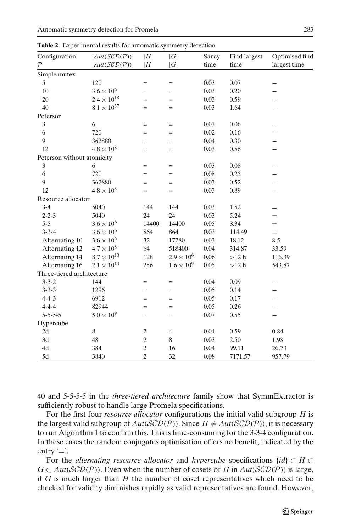| Configuration              | $ Aut(\mathcal{SCD}(P)) $ | H              | G                   | Saucy    | Find largest | Optimised find |
|----------------------------|---------------------------|----------------|---------------------|----------|--------------|----------------|
| $\mathcal{P}$              | $ Aut(\mathcal{SCD}(P)) $ | H              | G                   | time     | time         | largest time   |
| Simple mutex               |                           |                |                     |          |              |                |
| 5                          | 120                       | $=$            | $=$                 | 0.03     | 0.07         |                |
| 10                         | $3.6\times10^6$           | $=$            | $=$                 | 0.03     | 0.20         |                |
| 20                         | $2.4\times10^{18}$        | $=$            | $=$                 | 0.03     | 0.59         |                |
| 40                         | $8.1 \times 10^{37}$      | $=$            | $=$                 | 0.03     | 1.64         |                |
| Peterson                   |                           |                |                     |          |              |                |
| 3                          | 6                         | $=$            | $=$                 | 0.03     | 0.06         |                |
| 6                          | 720                       | $=$            | $=$                 | $0.02\,$ | 0.16         |                |
| 9                          | 362880                    | $=$            | $=$                 | 0.04     | 0.30         |                |
| 12                         | $4.8 \times 10^{8}$       | $=$            | $=$                 | 0.03     | 0.56         |                |
| Peterson without atomicity |                           |                |                     |          |              |                |
| 3                          | 6                         | $=$            | $=$                 | 0.03     | 0.08         |                |
| 6                          | 720                       | $=$            | $=$                 | 0.08     | 0.25         |                |
| 9                          | 362880                    | $=$            | $=$                 | 0.03     | 0.52         |                |
| 12                         | $4.8 \times 10^{8}$       | $=$            | $=$                 | 0.03     | 0.89         |                |
| Resource allocator         |                           |                |                     |          |              |                |
| $3-4$                      | 5040                      | 144            | 144                 | 0.03     | 1.52         | $=$            |
| $2 - 2 - 3$                | 5040                      | 24             | 24                  | 0.03     | 5.24         | $=$            |
| $5 - 5$                    | $3.6 \times 10^{6}$       | 14400          | 14400               | 0.05     | 8.34         | $=$            |
| $3 - 3 - 4$                | $3.6 \times 10^{6}$       | 864            | 864                 | 0.03     | 114.49       | $=$            |
| Alternating 10             | $3.6 \times 10^{6}$       | 32             | 17280               | 0.03     | 18.12        | 8.5            |
| Alternating 12             | $4.7 \times 10^{8}$       | 64             | 518400              | 0.04     | 314.87       | 33.59          |
| Alternating 14             | $8.7 \times 10^{10}$      | 128            | $2.9 \times 10^{6}$ | 0.06     | >12 h        | 116.39         |
| Alternating 16             | $2.1 \times 10^{13}$      | 256            | $1.6 \times 10^{9}$ | 0.05     | >12 h        | 543.87         |
| Three-tiered architecture  |                           |                |                     |          |              |                |
| $3 - 3 - 2$                | 144                       | $=$            | $=$                 | 0.04     | 0.09         |                |
| $3 - 3 - 3$                | 1296                      | $=$            | $=$                 | 0.05     | 0.14         |                |
| $4 - 4 - 3$                | 6912                      | $=$            | $=$                 | 0.05     | 0.17         | —              |
| $4 - 4 - 4$                | 82944                     | $=$            | $=$                 | 0.05     | 0.26         | —              |
| $5 - 5 - 5 - 5$            | $5.0 \times 10^{9}$       | $=$            | $=$                 | 0.07     | 0.55         |                |
| Hypercube                  |                           |                |                     |          |              |                |
| 2d                         | 8                         | $\mathfrak{2}$ | $\overline{4}$      | 0.04     | 0.59         | 0.84           |
| 3d                         | 48                        | $\sqrt{2}$     | 8                   | 0.03     | 2.50         | 1.98           |
| 4d                         | 384                       | $\overline{c}$ | 16                  | 0.04     | 99.11        | 26.73          |
| 5d                         | 3840                      | $\overline{c}$ | 32                  | 0.08     | 7171.57      | 957.79         |

<span id="page-32-0"></span>**Table 2** Experimental results for automatic symmetry detection

40 and 5-5-5-5 in the *three-tiered architecture* family show that SymmExtractor is sufficiently robust to handle large Promela specifications.

For the first four *resource allocator* configurations the initial valid subgroup *H* is the largest valid subgroup of  $Aut(\mathcal{SCD}(P))$ . Since  $H \neq Aut(\mathcal{SCD}(P))$ , it is necessary to run Algorithm 1 to confirm this. This is time-consuming for the 3-3-4 configuration. In these cases the random conjugates optimisation offers no benefit, indicated by the entry  $\equiv$ .

For the *alternating resource allocator* and *hypercube* specifications {*id*} ⊂ *H* ⊂ *G* ⊂ *Aut*(*SCD*(*P*)). Even when the number of cosets of *H* in  $Aut(SCD(P))$  is large, if *G* is much larger than *H* the number of coset representatives which need to be checked for validity diminishes rapidly as valid representatives are found. However,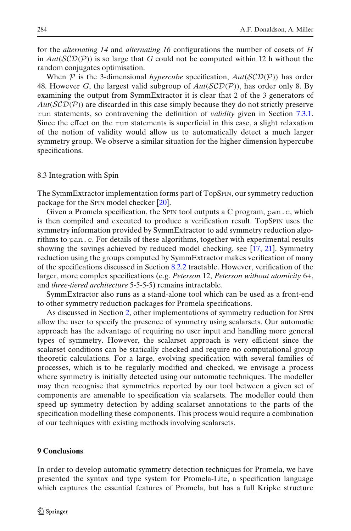<span id="page-33-0"></span>for the *alternating 14* and *alternating 16* configurations the number of cosets of *H* in  $Aut(SCD(P))$  is so large that *G* could not be computed within 12 h without the random conjugates optimisation.

When  $P$  is the 3-dimensional *hypercube* specification,  $Aut(SCD(P))$  has order 48. However *G*, the largest valid subgroup of  $Aut(\mathcal{SCD}(\mathcal{P}))$ , has order only 8. By examining the output from SymmExtractor it is clear that 2 of the 3 generators of *Aut*(SCD(P)) are discarded in this case simply because they do not strictly preserve run statements, so contravening the definition of *validity* given in Section [7.3.1.](#page-20-0) Since the effect on the run statements is superficial in this case, a slight relaxation of the notion of validity would allow us to automatically detect a much larger symmetry group. We observe a similar situation for the higher dimension hypercube specifications.

### 8.3 Integration with Spin

The SymmExtractor implementation forms part of TopSPIN, our symmetry reduction package for the SPIN model checker [\[20\]](#page-41-0).

Given a Promela specification, the SPIN tool outputs a C program, pan.c, which is then compiled and executed to produce a verification result. TopSPIN uses the symmetry information provided by SymmExtractor to add symmetry reduction algorithms to pan.c. For details of these algorithms, together with experimental results showing the savings achieved by reduced model checking, see [\[17,](#page-41-0) [21](#page-41-0)]. Symmetry reduction using the groups computed by SymmExtractor makes verification of many of the specifications discussed in Section [8.2.2](#page-31-0) tractable. However, verification of the larger, more complex specifications (e.g. *Peterson* 12, *Peterson without atomicity* 6+, and *three-tiered architecture* 5-5-5-5) remains intractable.

SymmExtractor also runs as a stand-alone tool which can be used as a front-end to other symmetry reduction packages for Promela specifications.

As discussed in Section [2,](#page-2-0) other implementations of symmetry reduction for SPIN allow the user to specify the presence of symmetry using scalarsets. Our automatic approach has the advantage of requiring no user input and handling more general types of symmetry. However, the scalarset approach is very efficient since the scalarset conditions can be statically checked and require no computational group theoretic calculations. For a large, evolving specification with several families of processes, which is to be regularly modified and checked, we envisage a process where symmetry is initially detected using our automatic techniques. The modeller may then recognise that symmetries reported by our tool between a given set of components are amenable to specification via scalarsets. The modeller could then speed up symmetry detection by adding scalarset annotations to the parts of the specification modelling these components. This process would require a combination of our techniques with existing methods involving scalarsets.

### **9 Conclusions**

In order to develop automatic symmetry detection techniques for Promela, we have presented the syntax and type system for Promela-Lite, a specification language which captures the essential features of Promela, but has a full Kripke structure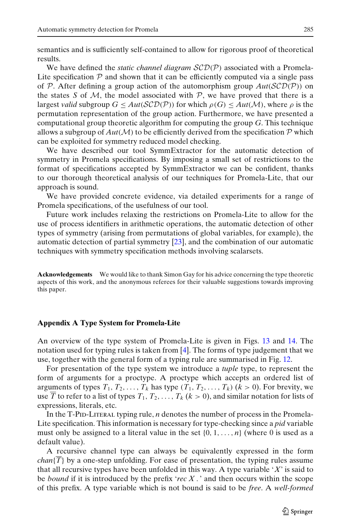<span id="page-34-0"></span>semantics and is sufficiently self-contained to allow for rigorous proof of theoretical results.

We have defined the *static channel diagram SCD(P)* associated with a Promela-Lite specification  $P$  and shown that it can be efficiently computed via a single pass of P. After defining a group action of the automorphism group  $Aut(SCD(\mathcal{P}))$  on the states *S* of *M*, the model associated with  $P$ , we have proved that there is a largest *valid* subgroup  $G \leq Aut(\mathcal{SCD}(\mathcal{P}))$  for which  $\rho(G) \leq Aut(\mathcal{M})$ , where  $\rho$  is the permutation representation of the group action. Furthermore, we have presented a computational group theoretic algorithm for computing the group *G*. This technique allows a subgroup of  $Aut(\mathcal{M})$  to be efficiently derived from the specification  $\mathcal P$  which can be exploited for symmetry reduced model checking.

We have described our tool SymmExtractor for the automatic detection of symmetry in Promela specifications. By imposing a small set of restrictions to the format of specifications accepted by SymmExtractor we can be confident, thanks to our thorough theoretical analysis of our techniques for Promela-Lite, that our approach is sound.

We have provided concrete evidence, via detailed experiments for a range of Promela specifications, of the usefulness of our tool.

Future work includes relaxing the restrictions on Promela-Lite to allow for the use of process identifiers in arithmetic operations, the automatic detection of other types of symmetry (arising from permutations of global variables, for example), the automatic detection of partial symmetry [\[23\]](#page-42-0), and the combination of our automatic techniques with symmetry specification methods involving scalarsets.

**Acknowledgements** We would like to thank Simon Gay for his advice concerning the type theoretic aspects of this work, and the anonymous referees for their valuable suggestions towards improving this paper.

## **Appendix A Type System for Promela-Lite**

An overview of the type system of Promela-Lite is given in Figs. [13](#page-36-0) and [14.](#page-37-0) The notation used for typing rules is taken from [\[4\]](#page-41-0). The forms of type judgement that we use, together with the general form of a typing rule are summarised in Fig. [12.](#page-35-0)

For presentation of the type system we introduce a *tuple* type, to represent the form of arguments for a proctype. A proctype which accepts an ordered list of arguments of types  $T_1, T_2, \ldots, T_k$  has type  $(T_1, T_2, \ldots, T_k)$   $(k > 0)$ . For brevity, we use  $\overline{T}$  to refer to a list of types  $T_1, T_2, \ldots, T_k$  ( $k > 0$ ), and similar notation for lists of expressions, literals, etc.

In the T-PID-LITERAL typing rule, *n* denotes the number of process in the Promela-Lite specification. This information is necessary for type-checking since a *pid* variable must only be assigned to a literal value in the set  $\{0, 1, \ldots, n\}$  (where 0 is used as a default value).

A recursive channel type can always be equivalently expressed in the form *chan*{*T*} by a one-step unfolding. For ease of presentation, the typing rules assume that all recursive types have been unfolded in this way. A type variable '*X*' is said to be *bound* if it is introduced by the prefix '*rec X* . ' and then occurs within the scope of this prefix. A type variable which is not bound is said to be *free*. A *well-formed*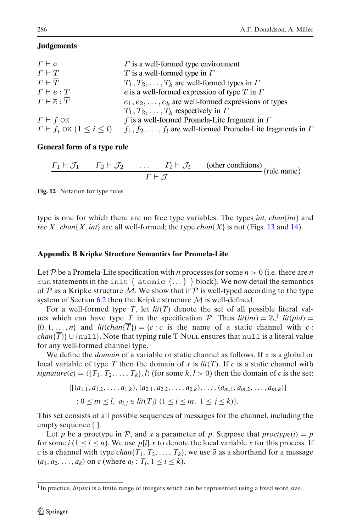## <span id="page-35-0"></span>**Judgements**

| $\Gamma \vdash \diamond$                          | $\Gamma$ is a well-formed type environment                                 |
|---------------------------------------------------|----------------------------------------------------------------------------|
| $\Gamma \vdash T$                                 | $T$ is a well-formed type in $\Gamma$                                      |
| $\Gamma \vdash \overline{T}$                      | $T_1, T_2, \ldots, T_k$ are well-formed types in $\Gamma$                  |
| $\Gamma \vdash e : T$                             | e is a well-formed expression of type $T$ in $\Gamma$                      |
| $\Gamma \vdash \overline{e} : \overline{T}$       | $e_1, e_2, \ldots, e_k$ are well-formed expressions of types               |
|                                                   | $T_1, T_2, \ldots, T_k$ respectively in $\Gamma$                           |
| $\Gamma \vdash f$ OK                              | f is a well-formed Promela-Lite fragment in $\Gamma$                       |
| $\Gamma \vdash f_i \text{ OK } (1 \leq i \leq l)$ | $f_1, f_2, \ldots, f_l$ are well-formed Promela-Lite fragments in $\Gamma$ |

## General form of a type rule

$$
\frac{\Gamma_1 \vdash \mathcal{J}_1 \qquad \Gamma_2 \vdash \mathcal{J}_2 \qquad \dots \qquad \Gamma_l \vdash \mathcal{J}_l \qquad \text{(other conditions)}}{\Gamma \vdash \mathcal{J}} \text{(rule name)}
$$

**Fig. 12** Notation for type rules

type is one for which there are no free type variables. The types *int*, *chan*{*int*} and *rec X* . *chan*{*X*, *int*} are all well-formed; the type *chan*{*X*} is not (Figs. [13](#page-36-0) and [14\)](#page-37-0).

## **Appendix B Kripke Structure Semantics for Promela-Lite**

Let P be a Promela-Lite specification with *n* processes for some  $n > 0$  (i.e. there are *n* run statements in the init  $\{atomic\}$ ... $\}$  block). We now detail the semantics of P as a Kripke structure M. We show that if P is well-typed according to the type system of Section [6.2](#page-14-0) then the Kripke structure  $M$  is well-defined.

For a well-formed type *T*, let *lit*(*T*) denote the set of all possible literal values which can have type *T* in the specification *P*. Thus  $lit(int) = \mathbb{Z}$ ,<sup>1</sup>  $lit(pid) =$  $\{0, 1, \ldots, n\}$  and  $\text{lit}(\text{chan}\{T\}) = \{c : c \text{ is the name of a static channel with } c \}$ *chan*{ $\overline{T}$ } ∪ {null}. Note that typing rule T-Null ensures that null is a literal value for any well-formed channel type.

We define the *domain* of a variable or static channel as follows. If *x* is a global or local variable of type *T* then the domain of *x* is *lit*(*T*). If *c* is a static channel with *signature*(*c*) = ({ $T_1, T_2, \ldots, T_k$ },*l*) (for some  $k, l > 0$ ) then the domain of *c* is the set:

$$
\{[(a_{1,1}, a_{1,2}, \ldots, a_{1,k}), (a_{2,1}, a_{2,2}, \ldots, a_{2,k}), \ldots, (a_{m,1}, a_{m,2}, \ldots, a_{m,k})] \}
$$
  
:  $0 \le m \le l, a_{i,j} \in lit(T_j)$   $(1 \le i \le m, 1 \le j \le k)\}.$ 

This set consists of all possible sequences of messages for the channel, including the empty sequence [ ].

Let *p* be a proctype in P, and *x* a parameter of p. Suppose that  $\text{proctype}(i) = p$ for some  $i (1 \le i \le n)$ . We use  $p[i]$ . *x* to denote the local variable *x* for this process. If *c* is a channel with type *chan*{ $T_1, T_2, ..., T_k$ }, we use  $\vec{a}$  as a shorthand for a message  $(a_1, a_2, \ldots, a_k)$  on *c* (where  $a_i : T_i, 1 \le i \le k$ ).

<sup>&</sup>lt;sup>1</sup>In practice, *lit(int)* is a finite range of integers which can be represented using a fixed word size.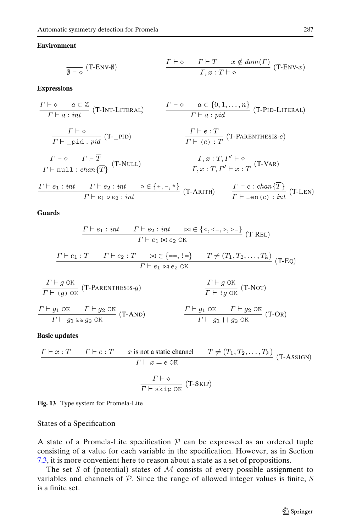## <span id="page-36-0"></span>**Environment**

$$
\frac{\Gamma \vdash \diamond \qquad \Gamma \vdash T \quad x \notin dom(\Gamma)}{\Gamma, x : T \vdash \diamond} \quad (\text{T-env-x})
$$

**Expressions** 

$$
\frac{\Gamma \vdash \diamond}{\Gamma \vdash a : \text{int}} \quad (T\text{-INT-LITERAL}) \qquad \frac{\Gamma \vdash \diamond}{\Gamma \vdash a : \text{int}} \quad (T\text{-PID-LITERAL})
$$
\n
$$
\frac{\Gamma \vdash \diamond}{\Gamma \vdash \neg \text{pid} : \text{pid}} \quad (T\text{-PID}) \qquad \frac{\Gamma \vdash e : T}{\Gamma \vdash (e) : T} \quad (T\text{-PARENTHESIS-e})
$$
\n
$$
\frac{\Gamma \vdash \diamond}{\Gamma \vdash \text{null} : \text{chan}\{\overline{T}\}} \quad (T\text{-NULL}) \qquad \frac{\Gamma, x : T, \Gamma' \vdash \diamond}{\Gamma, x : T, \Gamma' \vdash x : T} \quad (T\text{-VAR})
$$
\n
$$
\frac{\Gamma \vdash e_1 : \text{int} \quad \Gamma \vdash e_2 : \text{int} \quad \diamond \in \{+, -, *\}}{\Gamma \vdash e_1 \circ e_2 : \text{int}} \quad (T\text{-ARITH}) \qquad \frac{\Gamma \vdash c : \text{chan}\{\overline{T}\}}{\Gamma \vdash \text{len}(c) : \text{int}} \quad (T\text{-LEN})
$$

**Guards** 

$$
\frac{\Gamma \vdash e_1 : int \quad \Gamma \vdash e_2 : int \quad \bowtie \in \{\langle, \langle =, \rangle, \rangle =\}}{\Gamma \vdash e_1 \bowtie e_2 \text{ OK}} \quad (\text{T-REL})
$$
\n
$$
\frac{\Gamma \vdash e_1 : T \quad \Gamma \vdash e_2 : T \quad \bowtie \in \{==, !=\}}{\Gamma \vdash e_1 \bowtie e_2 \text{ OK}} \quad (\text{T-EO})
$$
\n
$$
\frac{\Gamma \vdash g \text{ OK}}{\Gamma \vdash (g) \text{ OK}} \quad (\text{T-PARENTHESIS} \cdot g) \qquad \frac{\Gamma \vdash g \text{ OK}}{\Gamma \vdash g \text{ OK}} \quad (\text{T-NOT})
$$
\n
$$
\frac{\Gamma \vdash g_1 \text{ OK} \quad \Gamma \vdash g_2 \text{ OK}}{\Gamma \vdash g_1 \text{ K} \& g_2 \text{ OK}} \quad (\text{T-AND}) \qquad \frac{\Gamma \vdash g_1 \text{ OK} \quad \Gamma \vdash g_2 \text{ OK}}{\Gamma \vdash g_1 \vdash g_2 \text{ OK}} \quad (\text{T-OR})
$$

**Basic updates** 

$$
\frac{\Gamma \vdash x : T \qquad \Gamma \vdash e : T \qquad x \text{ is not a static channel}}{\Gamma \vdash x = e \text{ OR}}
$$
\n
$$
\frac{\Gamma \vdash \diamond}{\Gamma \vdash \text{skip OR}} \qquad (\text{T-ASSIGN})
$$

**Fig. 13** Type system for Promela-Lite

States of a Specification

A state of a Promela-Lite specification  $P$  can be expressed as an ordered tuple consisting of a value for each variable in the specification. However, as in Section [7.3,](#page-19-0) it is more convenient here to reason about a state as a set of propositions.

The set *S* of (potential) states of  $M$  consists of every possible assignment to variables and channels of P. Since the range of allowed integer values is finite, *S* is a finite set.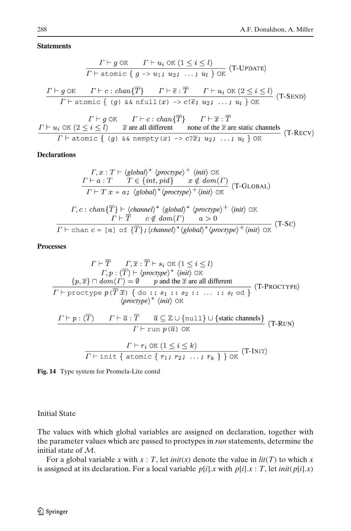#### <span id="page-37-0"></span>**Statements**

$$
\frac{\Gamma \vdash g \text{ OK} \quad \Gamma \vdash u_i \text{ OK} \ (1 \leq i \leq l)}{\Gamma \vdash \text{atomic} \{ g \rightarrow u_1; \ u_2; \ \ldots; \ u_l \} \text{ OK}} \ (T\text{-UPDATE})
$$

$$
\frac{\Gamma \vdash g \text{ OK} \qquad \Gamma \vdash c : chan\{\overline{T}\} \qquad \Gamma \vdash \overline{e} : \overline{T} \qquad \Gamma \vdash u_i \text{ OK} \ (2 \leq i \leq l)}{\Gamma \vdash \text{atomic} \{ (g) \land \text{& }\text{nfull}(x) \to c! \overline{e}; u_2; \dots; u_l \} \text{ OK}} \ (T\text{-}SEND)
$$

 $\Gamma \vdash g \lor \Gamma \vdash c : chan \{\overline{T}\} \qquad \Gamma \vdash \overline{x} : \overline{T}$  $\Gamma \vdash u_i \text{ OK } (2 \leq i \leq l)$   $\overline{x}$  are all different none of the  $\overline{x}$  are static channels  $(T$ -RECV)  $\overline{\Gamma}$  + atomic { (g) & a nempty (x) ->  $c \overline{\overline{x}}$ ;  $u_2$ ; ...;  $u_l$  } OK

## **Declarations**

$$
\Gamma, x: T \vdash \langle global \rangle^* \langle proctype \rangle^+ \langle init \rangle \text{ OK}
$$
\n
$$
\Gamma \vdash a: T \quad T \in \{int, pid\} \quad x \notin dom(\Gamma)
$$
\n
$$
\Gamma \vdash T \ x = a; \langle global \rangle^* \langle proctype \rangle^+ \langle init \rangle \text{ OK}
$$
\n
$$
\Gamma, c: chan\{\overline{T}\} \vdash \langle channel \rangle^* \langle global \rangle^* \langle proctype \rangle^+ \langle init \rangle \text{ OK}
$$
\n
$$
\Gamma \vdash \text{chan } c = [a] \text{ of } \{\overline{T}\}; \langle channel \rangle^* \langle global \rangle^* \langle proctype \rangle^+ \langle init \rangle \text{ OK}
$$
\n
$$
\Gamma \vdash \text{chan } c = [a] \text{ of } \{\overline{T}\}; \langle channel \rangle^* \langle global \rangle^* \langle proctype \rangle^+ \langle init \rangle \text{ OK}
$$
\n
$$
\tag{T-SC}
$$

## **Processes**

$$
\Gamma \vdash \overline{T} \qquad \Gamma, \overline{x} : \overline{T} \vdash s_i \text{ OK } (1 \leq i \leq l)
$$
\n
$$
\Gamma, p : (\overline{T}) \vdash \langle \text{proctype} \rangle^* \langle \text{init} \rangle \text{ OK}
$$
\n
$$
\{p, \overline{x}\} \cap \text{dom}(\Gamma) = \emptyset \qquad p \text{ and the } \overline{x} \text{ are all different}
$$
\n
$$
\Gamma \vdash \text{proctype } p(\overline{T} \overline{x}) \{ \text{do} : : s_1 : : s_2 : : \dots : : s_l \text{ od} \}
$$
\n
$$
\langle \text{proctype} \rangle^* \langle \text{init} \rangle \text{ OK}
$$
\n
$$
\frac{\Gamma \vdash p : (\overline{T}) \qquad \Gamma \vdash \overline{a} : \overline{T} \qquad \overline{a} \subseteq \mathbb{Z} \cup \{\text{null} \} \cup \{\text{static channels}\}}{\Gamma \vdash \text{run } p(\overline{a}) \text{ OK}} \quad (\text{T-RUN})
$$
\n
$$
\frac{\Gamma \vdash r_i \text{ OK } (1 \leq i \leq k)}{\Gamma \vdash \text{init } \{\text{atomic } \{r_1; r_2; \dots; r_k\} \} \text{ OK}} \quad (\text{T-INT})
$$

**Fig. 14** Type system for Promela-Lite contd

## Initial State

The values with which global variables are assigned on declaration, together with the parameter values which are passed to proctypes in *run* statements, determine the initial state of M.

For a global variable *x* with  $x : T$ , let *init*(*x*) denote the value in *lit*(*T*) to which *x* is assigned at its declaration. For a local variable  $p[i].x$  with  $p[i].x : T$ , let *init*( $p[i].x$ )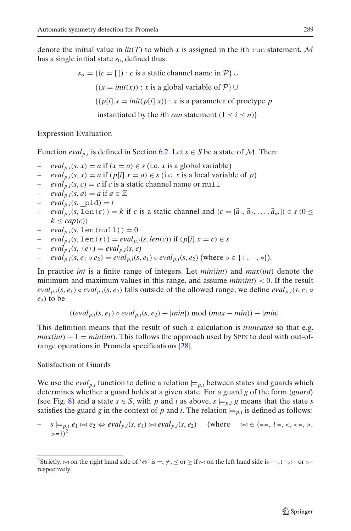denote the initial value in  $lit(T)$  to which x is assigned in the *i*th run statement. M has a single initial state  $s_0$ , defined thus:

$$
s_o = \{(c = [1) : c \text{ is a static channel name in } \mathcal{P}\} \cup
$$

$$
\{(x = init(x)) : x \text{ is a global variable of } \mathcal{P}\} \cup
$$

$$
\{(p[i].x = init(p[i].x)) : x \text{ is a parameter of prototype } p \text{ instantiated by the } i\text{th run statement } (1 \le i \le n)\}\
$$

## Expression Evaluation

Function *eval*<sub>p,*i*</sub> is defined in Section [6.2.](#page-14-0) Let  $s \in S$  be a state of M. Then:

- $eval_{p,i}(s, x) = a$  if  $(x = a) \in s$  (i.e. *x* is a global variable)
- $eval_{p,i}(s, x) = a$  if  $(p[i].x = a) \in s$  (i.e. *x* is a local variable of *p*)
- *eval*<sub>n,*i*</sub>(*s*, *c*) = *c* if *c* is a static channel name or null
- $eval_{p,i}(s,a) = a$  if  $a \in \mathbb{Z}$
- $eval_{p,i}(s, \text{pid}) = i$
- $eval_{p,i}(s, \text{len}(c)) = k$  if *c* is a static channel and  $(c = [\vec{a}_1, \vec{a}_2, \dots, \vec{a}_m]) \in s \ (0 \leq$  $k \leq cap(c)$
- $= eval_{p,i}(s, len(null)) = 0$
- $eval_{p,i}(s, \text{len}(x)) = eval_{p,i}(s, len(c))$  if  $(p[i].x = c) \in s$
- $eval_{p,i}(s, (e)) = eval_{p,i}(s, e)$
- $eval_{p,i}(s, e_1 \circ e_2) = eval_{p,i}(s, e_1) \circ eval_{p,i}(s, e_2)$  (where  $\circ \in \{+, -, *\}.$

In practice *int* is a finite range of integers. Let *min*(*int*) and *max*(*int*) denote the minimum and maximum values in this range, and assume *min*(*int*) < 0. If the result *eval<sub>p</sub>*,*i*(*s*, *e*<sub>1</sub>)  $\circ$  *eval<sub>p</sub>*,*i*(*s*, *e*<sub>2</sub>) falls outside of the allowed range, we define *eval<sub>p</sub>*,*i*(*s*, *e*<sub>1</sub>  $\circ$  $e_2$ ) to be

$$
((eval_{p,i}(s, e_1) \circ eval_{p,i}(s, e_2) + |min|) \mod (max - min)) - |min|.
$$

This definition means that the result of such a calculation is *truncated* so that e.g.  $max(int) + 1 = min(int)$ . This follows the approach used by SPIN to deal with out-ofrange operations in Promela specifications [\[28](#page-42-0)].

## Satisfaction of Guards

We use the *eval<sub>p,i</sub>* function to define a relation  $\models p_i$  between states and guards which determines whether a guard holds at a given state. For a guard *g* of the form *guard* (see Fig. [8\)](#page-13-0) and a state  $s \in S$ , with p and *i* as above,  $s \models p, i, g$  means that the state *s* satisfies the guard *g* in the context of *p* and *i*. The relation  $\models p_{i,i}$  is defined as follows:

$$
- s \models_{p,i} e_1 \bowtie e_2 \Leftrightarrow eval_{p,i}(s, e_1) \bowtie eval_{p,i}(s, e_2) \quad \text{(where} \quad \bowtie \in \{ ==, !=, <, < =, >, \text{)} \}^2
$$

<sup>2</sup>Strictly,  $\approx$  on the right hand side of ' $\Leftrightarrow$ ' is =,  $\neq$ ,  $\leq$  or  $\geq$  if  $\approx$  on the left hand side is ==, ! =, <= or >= respectively.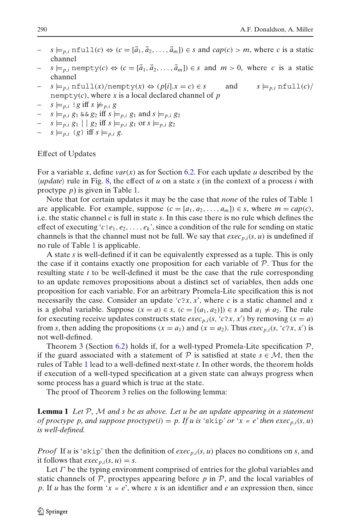- $s \models p_i$ , in full(*c*)  $\Leftrightarrow$   $(c = [\vec{a}_1, \vec{a}_2, \dots, \vec{a}_m]) \in s$  and  $cap(c) > m$ , where *c* is a static channel
- $s \models p, i$  nempty(c)  $\Leftrightarrow (c = [\vec{a}_1, \vec{a}_2, \dots, \vec{a}_m]) \in s$  and  $m > 0$ , where c is a static channel
- $-$  *s*  $\models p_i$ , nfull(*x*)/nempty(*x*) ⇔ (*p*[*i*].*x* = *c*) ∈ *s* and *s*  $\models p_i$ , nfull(*c*)/ nempty $(c)$ , where *x* is a local declared channel of *p*
- $s \models p, i \text{ ! } g \text{ iff } s \not\models p, i g$
- $s \models p, i, g_1 \& g_2 \text{ iff } s \models p, i, g_1 \text{ and } s \models p, i, g_2$
- $s \models p, i \ g_1 \mid g_2 \text{ iff } s \models p, i \ g_1 \text{ or } s \models p, i \ g_2$
- $s \models p, i \ (g) \ \text{iff} \ s \models p, i \ g.$

### Effect of Updates

For a variable *x*, define  $var(x)$  as for Section [6.2.](#page-14-0) For each update *u* described by the  $\langle update \rangle$  rule in Fig. [8,](#page-13-0) the effect of *u* on a state *s* (in the context of a process *i* with proctype *p*) is given in Table [1.](#page-24-0)

Note that for certain updates it may be the case that *none* of the rules of Table [1](#page-24-0) are applicable. For example, suppose  $(c = [a_1, a_2, \ldots, a_m]) \in s$ , where  $m = cap(c)$ , i.e. the static channel *c* is full in state *s*. In this case there is no rule which defines the effect of executing '*c*!  $e_1, e_2, \ldots, e_k$ ', since a condition of the rule for sending on static channels is that the channel must not be full. We say that  $exec_{p,i}(s, u)$  is undefined if no rule of Table [1](#page-24-0) is applicable.

A state *s* is well-defined if it can be equivalently expressed as a tuple. This is only the case if it contains exactly one proposition for each variable of  $P$ . Thus for the resulting state *t* to be well-defined it must be the case that the rule corresponding to an update removes propositions about a distinct set of variables, then adds one proposition for each variable. For an arbitrary Promela-Lite specification this is not necessarily the case. Consider an update '*c*?*x*, *x*', where *c* is a static channel and *x* is a global variable. Suppose  $(x = a) \in s$ ,  $(c = [(a_1, a_2)] \in s$  and  $a_1 \neq a_2$ . The rule for executing receive updates constructs state *exec<sub>p,i</sub>*(*s*, '*c*?*x*, *x*') by removing (*x* = *a*) from *s*, then adding the propositions ( $x = a_1$ ) and ( $x = a_2$ ). Thus *exec<sub>p,i</sub>*( $s$ , '*c*?*x*, *x'*) is not well-defined.

Theorem 3 (Section [6.2\)](#page-14-0) holds if, for a well-typed Promela-Lite specification  $P$ , if the guard associated with a statement of  $P$  is satisfied at state  $s \in M$ , then the rules of Table [1](#page-24-0) lead to a well-defined next-state *t*. In other words, the theorem holds if execution of a well-typed specification at a given state can always progress when some process has a guard which is true at the state.

The proof of Theorem 3 relies on the following lemma:

**Lemma 1** *Let* P*,* M *and s be as above. Let u be an update appearing in a statement of proctype p, and suppose proctype* $(i) = p$ . If u is 'skip' or ' $x = e$ ' then exec<sub>p,*i*</sub>(*s*, *u*) *is well-defined.*

*Proof* If *u* is 'skip' then the definition of *exec<sub>p,<i>i*</sub>( $s$ ,  $u$ ) places no conditions on  $s$ , and it follows that  $exec_{p,i}(s, u) = s$ .

Let  $\Gamma$  be the typing environment comprised of entries for the global variables and static channels of  $P$ , proctypes appearing before  $p$  in  $P$ , and the local variables of *p*. If *u* has the form ' $x = e$ ', where *x* is an identifier and *e* an expression then, since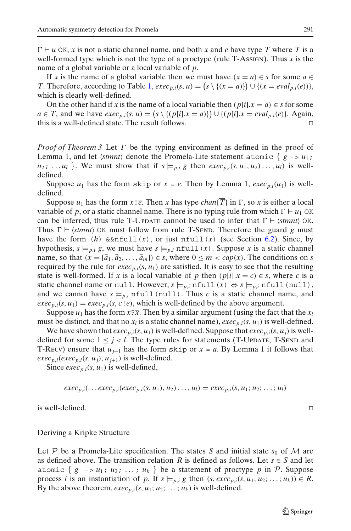$\Gamma \vdash u$  OK, *x* is not a static channel name, and both *x* and *e* have type *T* where *T* is a well-formed type which is not the type of a proctype (rule T-Assign). Thus *x* is the name of a global variable or a local variable of *p*.

If *x* is the name of a global variable then we must have  $(x = a) \in s$  for some  $a \in s$ *T*. Therefore, according to Table [1,](#page-24-0)  $exec_{p,i}(s, u) = (s \setminus \{(x = a)\}) \cup \{(x = eval_{p,i}(e))\},\$ which is clearly well-defined.

On the other hand if *x* is the name of a local variable then  $(p[i].x = a) \in s$  for some *a* ∈ *T*, and we have *exec<sub>p,<i>i*</sub>(*s*, *u*) =  $(s \setminus \{(p[i].x = a)\}) \cup \{(p[i].x = eval_{p,i}(e)\}\)$ . Again, this is a well-defined state. The result follows.

*Proof of Theorem 3* Let Γ be the typing environment as defined in the proof of Lemma 1, and let  $\langle \text{stmnt} \rangle$  denote the Promela-Lite statement atomic  $\{g \rightarrow u_1\}$  $u_2$ ; ...  $u_l$  }. We must show that if  $s \models p, i, g$  then  $exec_{p,i}(s, u_1, u_2) \dots, u_l)$  is welldefined.

Suppose  $u_1$  has the form skip or  $x = e$ . Then by Lemma 1,  $exec_{n,i}(u_1)$  is welldefined.

Suppose  $u_1$  has the form  $x \in \overline{e}$ . Then x has type  $chan(\overline{T})$  in  $\Gamma$ , so x is either a local variable of *p*, or a static channel name. There is no typing rule from which  $\Gamma \vdash u_1$  OK can be inferred, thus rule T-Update cannot be used to infer that  $\Gamma \vdash \langle \textit{stmnt} \rangle$  OK. Thus  $\Gamma \vdash \langle \mathit{stmnt} \rangle$  OK must follow from rule T-SEND. Therefore the guard *g* must have the form  $(h)$   $\&\text{snfull}(x)$ , or just  $nfull(x)$  (see Section [6.2\)](#page-14-0). Since, by hypothesis,  $s \models p_i$  *g*, we must have  $s \models p_i$  nfull  $(x)$ . Suppose *x* is a static channel name, so that  $(x = [\vec{a}_1, \vec{a}_2, \dots, \vec{a}_m]) \in s$ , where  $0 \le m < cap(x)$ . The conditions on *s* required by the rule for  $exec_{p,i}(s, u_1)$  are satisfied. It is easy to see that the resulting state is well-formed. If *x* is a local variable of *p* then  $(p[i].x = c) \in s$ , where *c* is a static channel name or null. However,  $s \models p, i$  nfull (*x*)  $\Leftrightarrow s \models p, i$  nfull (null), and we cannot have  $s \models_{p,i} \text{nfull}(\text{null})$ . Thus *c* is a static channel name, and  $exec_{p,i}(s, u_1) = exec_{p,i}(s, c | \overline{e})$ , which is well-defined by the above argument.

Suppose  $u_1$  has the form  $x \geq \bar{x}$ . Then by a similar argument (using the fact that the  $x_i$ must be distinct, and that no  $x_i$  is a static channel name),  $exec_{p,i}(s, u_1)$  is well-defined.

We have shown that  $exec_{p,i}(s, u_1)$  is well-defined. Suppose that  $exec_{p,i}(s, u_i)$  is welldefined for some  $1 \leq j < l$ . The type rules for statements (T-Uppare, T-Senp and T-Recv) ensure that  $u_{i+1}$  has the form skip or  $x = a$ . By Lemma 1 it follows that  $exec_{p,i}(exec_{p,i}(s, u_i), u_{i+1})$  is well-defined.

Since  $exec_{p,i}(s, u_1)$  is well-defined,

$$
exec_{p,i}(...exec_{p,i}(exec_{p,i}(s, u_1), u_2) ..., u_l) = exec_{p,i}(s, u_1; u_2; ...; u_l)
$$

is well-defined.

## Deriving a Kripke Structure

Let P be a Promela-Lite specification. The states S and initial state  $s_0$  of M are as defined above. The transition relation *R* is defined as follows. Let  $s \in S$  and let atomic {  $g \rightarrow u_1; u_2; \ldots; u_k$  } be a statement of proctype p in P. Suppose process *i* is an instantiation of *p*. If  $s \models p, i \notin g$  then  $(s, exec_{p,i}(s, u_1; u_2; \ldots; u_k)) \in R$ . By the above theorem,  $exec_{p,i}(s, u_1; u_2; \ldots; u_k)$  is well-defined.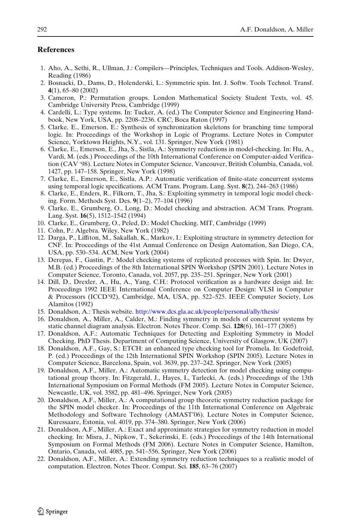## <span id="page-41-0"></span>**References**

- 1. Aho, A., Sethi, R., Ullman, J.: Compilers—Principles, Techniques and Tools. Addison-Wesley, Reading (1986)
- 2. Bosnacki, D., Dams, D., Holenderski, L.: Symmetric spin. Int. J. Softw. Tools Technol. Transf. **4**(1), 65–80 (2002)
- 3. Cameron, P.: Permutation groups. London Mathematical Society Student Texts, vol. 45. Cambridge University Press, Cambridge (1999)
- 4. Cardelli, L.: Type systems. In: Tucker, A. (ed.) The Computer Science and Engineering Handbook, New York, USA, pp. 2208–2236. CRC, Boca Raton (1997)
- 5. Clarke, E., Emerson, E.: Synthesis of synchronization skeletons for branching time temporal logic. In: Proceedings of the Workshop in Logic of Programs. Lecture Notes in Computer Science, Yorktown Heights, N.Y., vol. 131. Springer, New York (1981)
- 6. Clarke, E., Emerson, E., Jha, S., Sistla, A.: Symmetry reductions in model-checking. In: Hu, A., Vardi, M. (eds.) Proceedings of the 10th International Conference on Computer-aided Verification (CAV '98). Lecture Notes in Computer Science, Vancouver, British Columbia, Canada, vol. 1427, pp. 147–158. Springer, New York (1998)
- 7. Clarke, E., Emerson, E., Sistla, A.P.: Automatic verification of finite-state concurrent systems using temporal logic specifications. ACM Trans. Program. Lang. Syst. **8**(2), 244–263 (1986)
- 8. Clarke, E., Enders, R., Filkorn, T., Jha, S.: Exploiting symmetry in temporal logic model checking. Form. Methods Syst. Des. **9**(1–2), 77–104 (1996)
- 9. Clarke, E., Grumberg, O., Long, D.: Model checking and abstraction. ACM Trans. Program. Lang. Syst. **16**(5), 1512–1542 (1994)
- 10. Clarke, E., Grumberg, O., Peled, D.: Model Checking. MIT, Cambridge (1999)
- 11. Cohn, P.: Algebra. Wiley, New York (1982)
- 12. Darga, P., Liffiton, M., Sakallah, K., Markov, I.: Exploiting structure in symmetry detection for CNF. In: Proceedings of the 41st Annual Conference on Design Automation, San Diego, CA, USA, pp. 530–534. ACM, New York (2004)
- 13. Derepas, F., Gastin, P.: Model checking systems of replicated processes with Spin. In: Dwyer, M.B. (ed.) Proceedings of the 8th International SPIN Workshop (SPIN 2001). Lecture Notes in Computer Science, Toronto, Canada, vol. 2057, pp. 235–251. Springer, New York (2001)
- 14. Dill, D., Drexler, A., Hu, A., Yang, C.H.: Protocol verification as a hardware design aid. In: Proceedings 1992 IEEE International Conference on Computer Design: VLSI in Computer & Processors (ICCD'92), Cambridge, MA, USA, pp. 522–525. IEEE Computer Society, Los Alamitos (1992)
- 15. Donaldson, A.: Thesis website. <http://www.dcs.gla.ac.uk/people/personal/ally/thesis/>
- 16. Donaldson, A., Miller, A., Calder, M.: Finding symmetry in models of concurrent systems by static channel diagram analysis. Electron. Notes Theor. Comp. Sci. **128**(6), 161–177 (2005)
- 17. Donaldson, A.F.: Automatic Techniques for Detecting and Exploiting Symmetry in Model Checking. PhD Thesis. Department of Computing Science, University of Glasgow, UK (2007)
- 18. Donaldson, A.F., Gay, S.: ETCH: an enhanced type checking tool for Promela. In: Godefroid, P. (ed.) Proceedings of the 12th International SPIN Workshop (SPIN 2005). Lecture Notes in Computer Science, Barcelona, Spain, vol. 3639, pp. 237–242. Springer, New York (2005)
- 19. Donaldson, A.F., Miller, A.: Automatic symmetry detection for model checking using computational group theory. In: Fitzgerald, J., Hayes, I., Tarlecki, A. (eds.) Proceedings of the 13th International Symposium on Formal Methods (FM 2005). Lecture Notes in Computer Science, Newcastle, UK, vol. 3582, pp. 481–496. Springer, New York (2005)
- 20. Donaldson, A.F., Miller, A.: A computational group theoretic symmetry reduction package for the SPIN model checker. In: Proceedings of the 11th International Conference on Algebraic Methodology and Software Technology (AMAST'06). Lecture Notes in Computer Science, Kuressaare, Estonia, vol. 4019, pp. 374–380. Springer, New York (2006)
- 21. Donaldson, A.F., Miller, A.: Exact and approximate strategies for symmetry reduction in model checking. In: Misra, J., Nipkow, T., Sekerinski, E. (eds.) Proceedings of the 14th International Symposium on Formal Methods (FM 2006). Lecture Notes in Computer Science, Hamilton, Ontario, Canada, vol. 4085, pp. 541–556. Springer, New York (2006)
- 22. Donaldson, A.F., Miller, A.: Extending symmetry reduction techniques to a realistic model of computation. Electron. Notes Theor. Comput. Sci. **185**, 63–76 (2007)